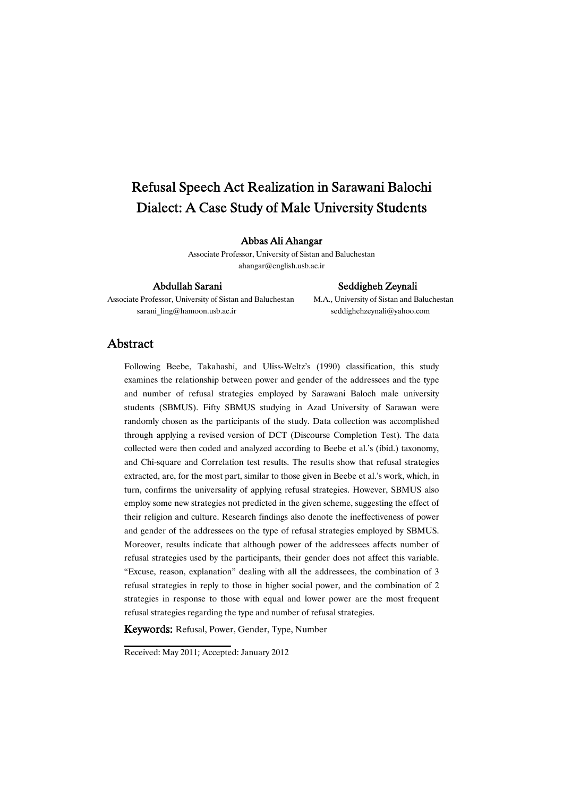# Refusal Speech Act Realization in Sarawani Balochi Dialect: A Case Study of Male University Students

### Abbas Ali Ahangar

Associate Professor, University of Sistan and Baluchestan ahangar@english.usb.ac.ir

Associate Professor, University of Sistan and Baluchestan M.A., University of Sistan and Baluchestan sarani\_ling@hamoon.usb.ac.ir seddighehzeynali@yahoo.com

#### Abdullah Sarani Seddigheh Zeynali

### Abstract

Following Beebe, Takahashi, and Uliss-Weltz's (1990) classification, this study examines the relationship between power and gender of the addressees and the type and number of refusal strategies employed by Sarawani Baloch male university students (SBMUS). Fifty SBMUS studying in Azad University of Sarawan were randomly chosen as the participants of the study. Data collection was accomplished through applying a revised version of DCT (Discourse Completion Test). The data collected were then coded and analyzed according to Beebe et al.'s (ibid.) taxonomy, and Chi-square and Correlation test results. The results show that refusal strategies extracted, are, for the most part, similar to those given in Beebe et al.'s work, which, in turn, confirms the universality of applying refusal strategies. However, SBMUS also employ some new strategies not predicted in the given scheme, suggesting the effect of their religion and culture. Research findings also denote the ineffectiveness of power and gender of the addressees on the type of refusal strategies employed by SBMUS. Moreover, results indicate that although power of the addressees affects number of refusal strategies used by the participants, their gender does not affect this variable. "Excuse, reason, explanation" dealing with all the addressees, the combination of 3 refusal strategies in reply to those in higher social power, and the combination of 2 strategies in response to those with equal and lower power are the most frequent refusal strategies regarding the type and number of refusal strategies.

Keywords: Refusal, Power, Gender, Type, Number

Received: May 2011; Accepted: January 2012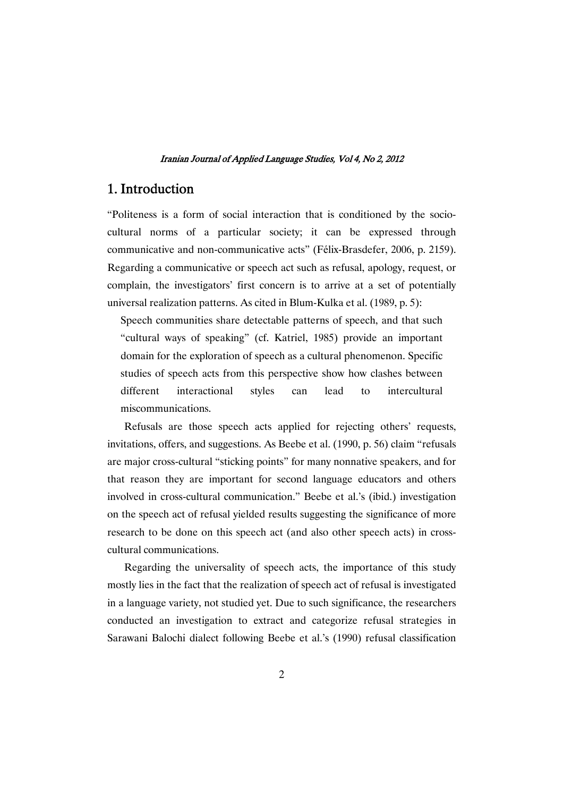# 1.Introduction

"Politeness is a form of social interaction that is conditioned by the sociocultural norms of a particular society; it can be expressed through communicative and non-communicative acts" (Félix-Brasdefer, 2006, p. 2159). Regarding a communicative or speech act such as refusal, apology, request, or complain, the investigators' first concern is to arrive at a set of potentially universal realization patterns. As cited in Blum-Kulka et al. (1989, p. 5):

Speech communities share detectable patterns of speech, and that such "cultural ways of speaking" (cf. Katriel, 1985) provide an important domain for the exploration of speech as a cultural phenomenon. Specific studies of speech acts from this perspective show how clashes between different interactional styles can lead to intercultural miscommunications.

Refusals are those speech acts applied for rejecting others' requests, invitations, offers, and suggestions. As Beebe et al. (1990, p. 56) claim "refusals are major cross-cultural "sticking points" for many nonnative speakers, and for that reason they are important for second language educators and others involved in cross-cultural communication." Beebe et al.'s (ibid.) investigation on the speech act of refusal yielded results suggesting the significance of more research to be done on this speech act (and also other speech acts) in crosscultural communications.

Regarding the universality of speech acts, the importance of this study mostly lies in the fact that the realization of speech act of refusal is investigated in a language variety, not studied yet. Due to such significance, the researchers conducted an investigation to extract and categorize refusal strategies in Sarawani Balochi dialect following Beebe et al.'s (1990) refusal classification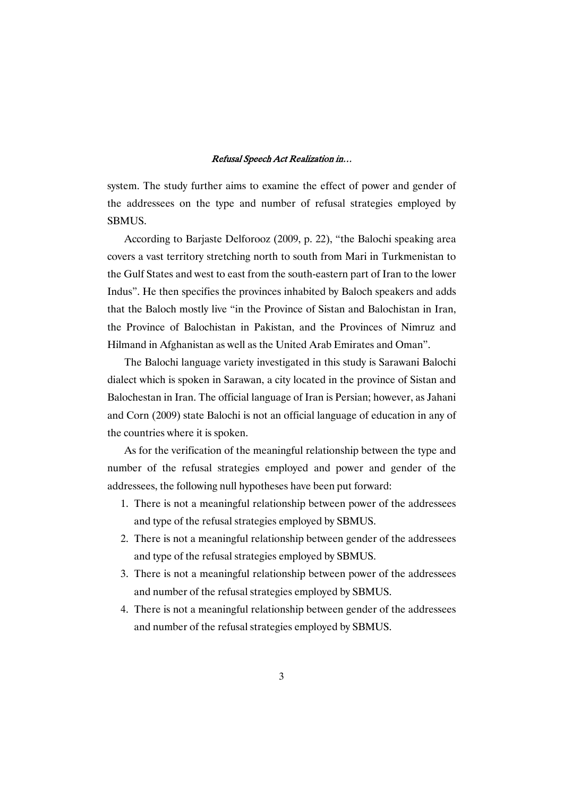system. The study further aims to examine the effect of power and gender of the addressees on the type and number of refusal strategies employed by SBMUS.

According to Barjaste Delforooz (2009, p. 22), "the Balochi speaking area covers a vast territory stretching north to south from Mari in Turkmenistan to the Gulf States and west to east from the south-eastern part of Iran to the lower Indus". He then specifies the provinces inhabited by Baloch speakers and adds that the Baloch mostly live "in the Province of Sistan and Balochistan in Iran, the Province of Balochistan in Pakistan, and the Provinces of Nimruz and Hilmand in Afghanistan as well as the United Arab Emirates and Oman".

The Balochi language variety investigated in this study is Sarawani Balochi dialect which is spoken in Sarawan, a city located in the province of Sistan and Balochestan in Iran. The official language of Iran is Persian; however, as Jahani and Corn (2009) state Balochi is not an official language of education in any of the countries where it is spoken.

As for the verification of the meaningful relationship between the type and number of the refusal strategies employed and power and gender of the addressees, the following null hypotheses have been put forward:

- 1. There is not a meaningful relationship between power of the addressees and type of the refusal strategies employed by SBMUS.
- 2. There is not a meaningful relationship between gender of the addressees and type of the refusal strategies employed by SBMUS.
- 3. There is not a meaningful relationship between power of the addressees and number of the refusal strategies employed by SBMUS.
- 4. There is not a meaningful relationship between gender of the addressees and number of the refusal strategies employed by SBMUS.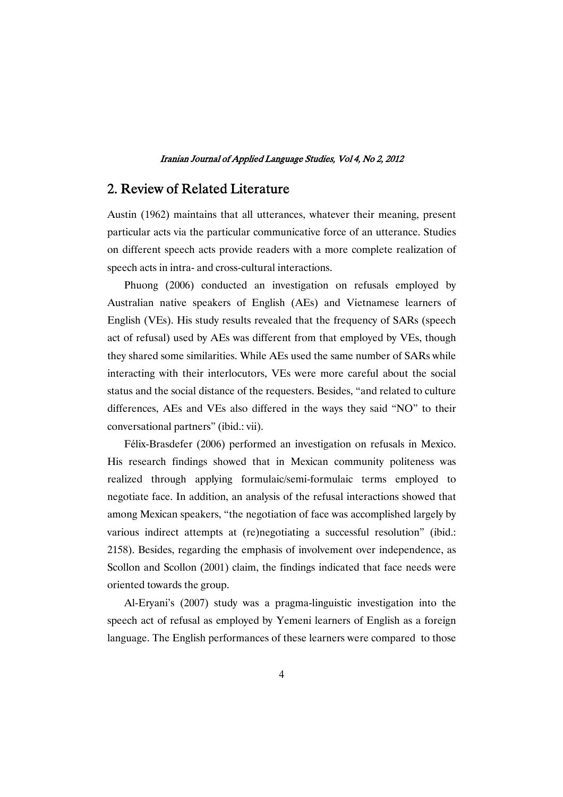# 2. Review of Related Literature

Austin (1962) maintains that all utterances, whatever their meaning, present particular acts via the particular communicative force of an utterance. Studies on different speech acts provide readers with a more complete realization of speech acts in intra- and cross-cultural interactions.

Phuong (2006) conducted an investigation on refusals employed by Australian native speakers of English (AEs) and Vietnamese learners of English (VEs). His study results revealed that the frequency of SARs (speech act of refusal) used by AEs was different from that employed by VEs, though they shared some similarities. While AEs used the same number of SARs while interacting with their interlocutors, VEs were more careful about the social status and the social distance of the requesters. Besides, "and related to culture differences, AEs and VEs also differed in the ways they said "NO" to their conversational partners" (ibid.: vii).

Félix-Brasdefer (2006) performed an investigation on refusals in Mexico. His research findings showed that in Mexican community politeness was realized through applying formulaic/semi-formulaic terms employed to negotiate face. In addition, an analysis of the refusal interactions showed that among Mexican speakers, "the negotiation of face was accomplished largely by various indirect attempts at (re)negotiating a successful resolution" (ibid.: 2158). Besides, regarding the emphasis of involvement over independence, as Scollon and Scollon (2001) claim, the findings indicated that face needs were oriented towards the group.

Al-Eryani's (2007) study was a pragma-linguistic investigation into the speech act of refusal as employed by Yemeni learners of English as a foreign language. The English performances of these learners were compared to those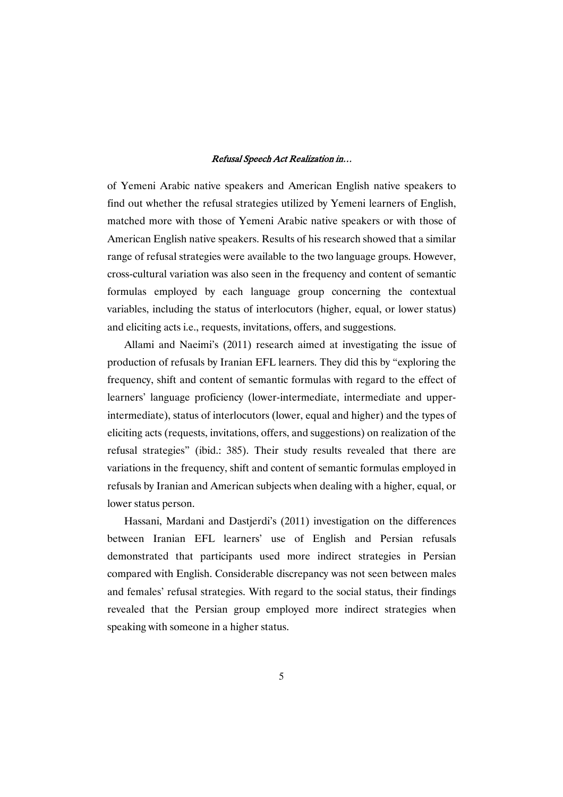of Yemeni Arabic native speakers and American English native speakers to find out whether the refusal strategies utilized by Yemeni learners of English, matched more with those of Yemeni Arabic native speakers or with those of American English native speakers. Results of his research showed that a similar range of refusal strategies were available to the two language groups. However, cross-cultural variation was also seen in the frequency and content of semantic formulas employed by each language group concerning the contextual variables, including the status of interlocutors (higher, equal, or lower status) and eliciting acts i.e., requests, invitations, offers, and suggestions.

Allami and Naeimi's (2011) research aimed at investigating the issue of production of refusals by Iranian EFL learners. They did this by "exploring the frequency, shift and content of semantic formulas with regard to the effect of learners' language proficiency (lower-intermediate, intermediate and upperintermediate), status of interlocutors (lower, equal and higher) and the types of eliciting acts (requests, invitations, offers, and suggestions) on realization of the refusal strategies" (ibid.: 385). Their study results revealed that there are variations in the frequency, shift and content of semantic formulas employed in refusals by Iranian and American subjects when dealing with a higher, equal, or lower status person.

Hassani, Mardani and Dastjerdi's (2011) investigation on the differences between Iranian EFL learners' use of English and Persian refusals demonstrated that participants used more indirect strategies in Persian compared with English. Considerable discrepancy was not seen between males and females' refusal strategies. With regard to the social status, their findings revealed that the Persian group employed more indirect strategies when speaking with someone in a higher status.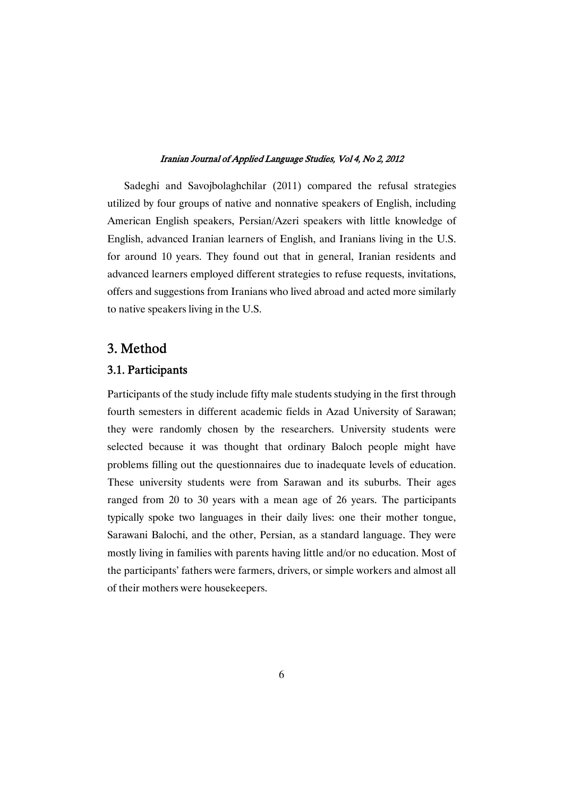Sadeghi and Savojbolaghchilar (2011) compared the refusal strategies utilized by four groups of native and nonnative speakers of English, including American English speakers, Persian/Azeri speakers with little knowledge of English, advanced Iranian learners of English, and Iranians living in the U.S. for around 10 years. They found out that in general, Iranian residents and advanced learners employed different strategies to refuse requests, invitations, offers and suggestions from Iranians who lived abroad and acted more similarly to native speakers living in the U.S.

# 3.Method

### 3.1.Participants

Participants of the study include fifty male students studying in the first through fourth semesters in different academic fields in Azad University of Sarawan; they were randomly chosen by the researchers. University students were selected because it was thought that ordinary Baloch people might have problems filling out the questionnaires due to inadequate levels of education. These university students were from Sarawan and its suburbs. Their ages ranged from 20 to 30 years with a mean age of 26 years. The participants typically spoke two languages in their daily lives: one their mother tongue, Sarawani Balochi, and the other, Persian, as a standard language. They were mostly living in families with parents having little and/or no education. Most of the participants' fathers were farmers, drivers, or simple workers and almost all of their mothers were housekeepers.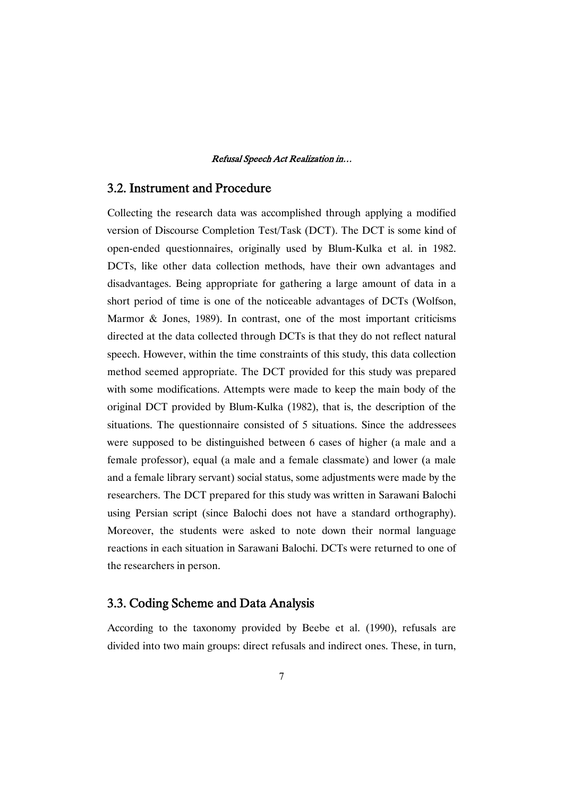### 3.2. Instrument and Procedure

Collecting the research data was accomplished through applying a modified version of Discourse Completion Test/Task (DCT). The DCT is some kind of open-ended questionnaires, originally used by Blum-Kulka et al. in 1982. DCTs, like other data collection methods, have their own advantages and disadvantages. Being appropriate for gathering a large amount of data in a short period of time is one of the noticeable advantages of DCTs (Wolfson, Marmor & Jones, 1989). In contrast, one of the most important criticisms directed at the data collected through DCTs is that they do not reflect natural speech. However, within the time constraints of this study, this data collection method seemed appropriate. The DCT provided for this study was prepared with some modifications. Attempts were made to keep the main body of the original DCT provided by Blum-Kulka (1982), that is, the description of the situations. The questionnaire consisted of 5 situations. Since the addressees were supposed to be distinguished between 6 cases of higher (a male and a female professor), equal (a male and a female classmate) and lower (a male and a female library servant) social status, some adjustments were made by the researchers. The DCT prepared for this study was written in Sarawani Balochi using Persian script (since Balochi does not have a standard orthography). Moreover, the students were asked to note down their normal language reactions in each situation in Sarawani Balochi. DCTs were returned to one of the researchers in person.

### 3.3. Coding Scheme and Data Analysis

According to the taxonomy provided by Beebe et al. (1990), refusals are divided into two main groups: direct refusals and indirect ones. These, in turn,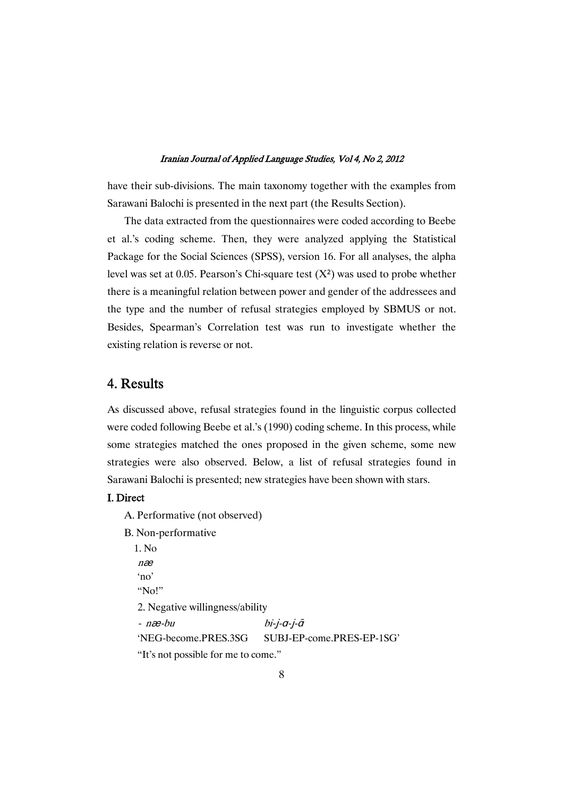have their sub-divisions. The main taxonomy together with the examples from Sarawani Balochi is presented in the next part (the Results Section).

The data extracted from the questionnaires were coded according to Beebe et al.'s coding scheme. Then, they were analyzed applying the Statistical Package for the Social Sciences (SPSS), version 16. For all analyses, the alpha level was set at 0.05. Pearson's Chi-square test  $(X^2)$  was used to probe whether there is a meaningful relation between power and gender of the addressees and the type and the number of refusal strategies employed by SBMUS or not. Besides, Spearman's Correlation test was run to investigate whether the existing relation is reverse or not.

# 4.Results

As discussed above, refusal strategies found in the linguistic corpus collected were coded following Beebe et al.'s (1990) coding scheme. In this process, while some strategies matched the ones proposed in the given scheme, some new strategies were also observed. Below, a list of refusal strategies found in Sarawani Balochi is presented; new strategies have been shown with stars.

### I.Direct

A. Performative (not observed)

B. Non-performative

1. No  $næ$ 'no' " $N<sub>0</sub>$ " 2. Negative willingness/ability  $næ-bu$  $bi$ -j- $a$ -j- $\tilde{a}$ 'NEG-become.PRES.3SG SUBJ-EP-come.PRES-EP-1SG' "It's not possible for me to come."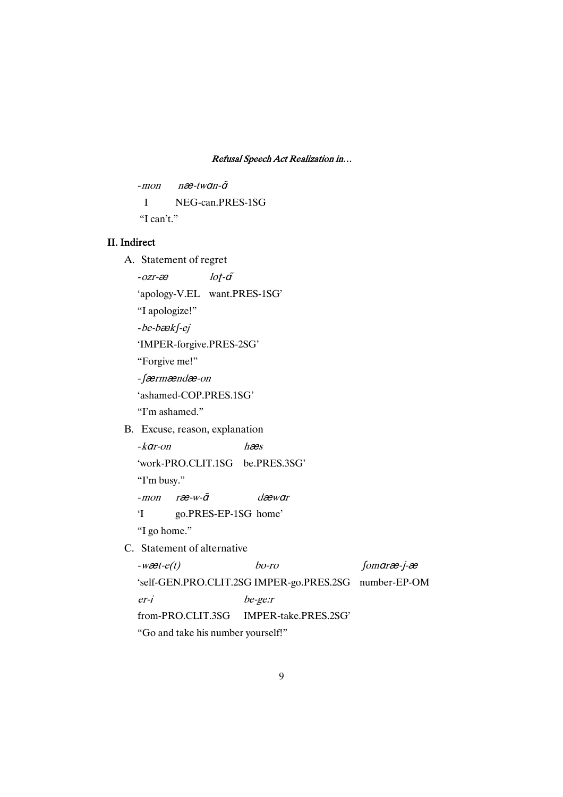```
-mon næ-twan-\tilde{a}I NEG-can.PRES-1SG
"I can't."
```
### II.Indirect

A. Statement of regret

 $-ozr-\hat{x}$   $lot-\tilde{a}$ 

'apology-V.EL want.PRES-1SG'

"I apologize!"

 $-be-bæk$ - $ej$ 

'IMPER-forgive.PRES-2SG'

"Forgive me!"

- færmændæ-on

'ashamed-COP.PRES.1SG'

"I'm ashamed."

B. Excuse, reason, explanation

 $-k$ *ar-on* hæs

'work-PRO.CLIT.1SG be.PRES.3SG'

"I'm busy."

 $-$ mon ræ $-w$ - $\tilde{q}$  dæwar

'I go.PRES-EP-1SG home'

"I go home."

C. Statement of alternative

 $-w\text{z}t-e(t)$  bo-ro Somar $\text{z}-j-\text{z}$ 'self-GEN.PRO.CLIT.2SG IMPER-go.PRES.2SG number-EP-OM er-i be-ge:r from-PRO.CLIT.3SG IMPER-take.PRES.2SG' "Go and take his number yourself!"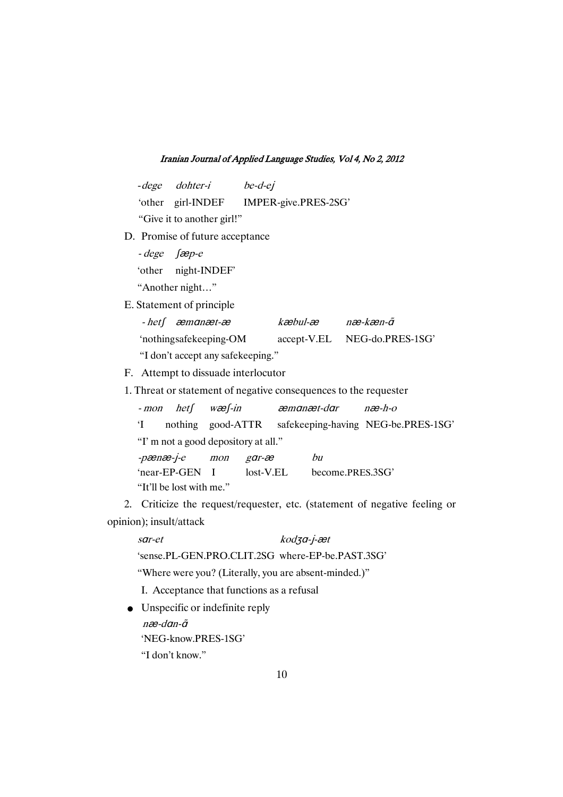|                        | - dege dohter-i be-d-ej                |     |       |                           |   |                                                                  |                                                                            |
|------------------------|----------------------------------------|-----|-------|---------------------------|---|------------------------------------------------------------------|----------------------------------------------------------------------------|
|                        | 'other girl-INDEF IMPER-give.PRES-2SG' |     |       |                           |   |                                                                  |                                                                            |
|                        | "Give it to another girl!"             |     |       |                           |   |                                                                  |                                                                            |
|                        | D. Promise of future acceptance        |     |       |                           |   |                                                                  |                                                                            |
| $-dege$ $fæp-e$        |                                        |     |       |                           |   |                                                                  |                                                                            |
|                        | 'other night-INDEF'                    |     |       |                           |   |                                                                  |                                                                            |
|                        | "Another night"                        |     |       |                           |   |                                                                  |                                                                            |
|                        | E. Statement of principle              |     |       |                           |   |                                                                  |                                                                            |
|                        | $-het\int$ $\alpha$ manæt-æ            |     |       | kæbul-æ næ-kæn-ã          |   |                                                                  |                                                                            |
|                        |                                        |     |       |                           |   | 'nothingsafekeeping-OM accept-V.EL NEG-do.PRES-1SG'              |                                                                            |
|                        | "I don't accept any safekeeping."      |     |       |                           |   |                                                                  |                                                                            |
|                        | F. Attempt to dissuade interlocutor    |     |       |                           |   |                                                                  |                                                                            |
|                        |                                        |     |       |                           |   | 1. Threat or statement of negative consequences to the requester |                                                                            |
|                        | - mon het wæ f-in                      |     |       | æmanæt-dar                |   | $næ-h-o$                                                         |                                                                            |
| $\mathbf{I}^{\bullet}$ |                                        |     |       |                           |   |                                                                  | nothing good-ATTR safekeeping-having NEG-be.PRES-1SG'                      |
|                        | "I'm not a good depository at all."    |     |       |                           |   |                                                                  |                                                                            |
| -pænæ-j-e              |                                        | mon | gar-æ |                           | h |                                                                  |                                                                            |
|                        | 'near-EP-GEN I                         |     |       | lost-V.EL become.PRES.3SG |   |                                                                  |                                                                            |
|                        | "It'll be lost with me."               |     |       |                           |   |                                                                  |                                                                            |
|                        |                                        |     |       |                           |   |                                                                  | 2. Criticize the request/requester, etc. (statement of negative feeling or |
|                        | opinion); insult/attack                |     |       |                           |   |                                                                  |                                                                            |

| sar-et                                                | $k$ odza-j-æt |
|-------------------------------------------------------|---------------|
| 'sense.PL-GEN.PRO.CLIT.2SG where-EP-be.PAST.3SG'      |               |
| "Where were you? (Literally, you are absent-minded.)" |               |
| I. Acceptance that functions as a refusal             |               |
| $\bullet$ Unspecific or indefinite reply              |               |

 $næ$ -dan- $\tilde{a}$ 'NEG-know.PRES-1SG' "I don't know."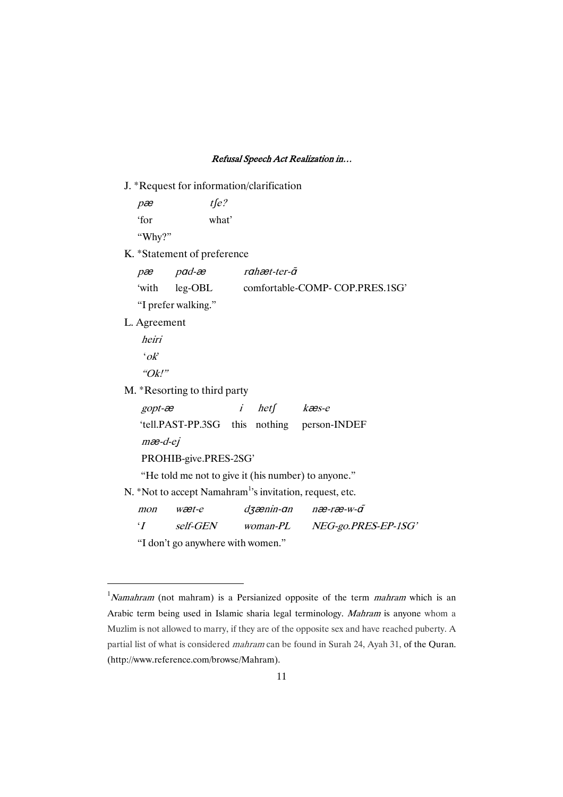|              | J. *Request for information/clarification |           |             |                                                                      |
|--------------|-------------------------------------------|-----------|-------------|----------------------------------------------------------------------|
| pæ           | $t\sqrt{e}$ ?                             |           |             |                                                                      |
| 'for         | what'                                     |           |             |                                                                      |
| "Why?"       |                                           |           |             |                                                                      |
|              | K. *Statement of preference               |           |             |                                                                      |
|              | $pæ$ pad-æ                                |           | rahæt-ter-ã |                                                                      |
|              |                                           |           |             | 'with leg-OBL comfortable-COMP-COP.PRES.1SG'                         |
|              | "I prefer walking."                       |           |             |                                                                      |
| L. Agreement |                                           |           |             |                                                                      |
| heiri        |                                           |           |             |                                                                      |
| $\partial k$ |                                           |           |             |                                                                      |
| " $Qk!$ "    |                                           |           |             |                                                                      |
|              | M. *Resorting to third party              |           |             |                                                                      |
| $gopt - x$   |                                           | $\dot{I}$ | het kæs-e   |                                                                      |
|              |                                           |           |             | 'tell.PAST-PP.3SG this nothing person-INDEF                          |
| $mæ-d-ej$    |                                           |           |             |                                                                      |
|              | PROHIB-give.PRES-2SG'                     |           |             |                                                                      |
|              |                                           |           |             | "He told me not to give it (his number) to anyone."                  |
|              |                                           |           |             | N. *Not to accept Namahram <sup>1</sup> 's invitation, request, etc. |
| mon          | wæt-e                                     |           |             | dzænin-an næ-ræ-w-a                                                  |
| $\cdot$ T    | self-GEN woman-PL                         |           |             | NEG-go.PRES-EP-1SG'                                                  |
|              | "I don't go anywhere with women."         |           |             |                                                                      |

 $1$ Namahram (not mahram) is a Persianized opposite of the term *mahram* which is an Arabic term being used in Islamic sharia legal terminology. Mahram is anyone whom a Muzlim is not allowed to marry, if they are of the opposite sex and have reached puberty. A partial list of what is considered mahram can be found in Surah 24, Ayah 31, of the Quran. (http://www.reference.com/browse/Mahram).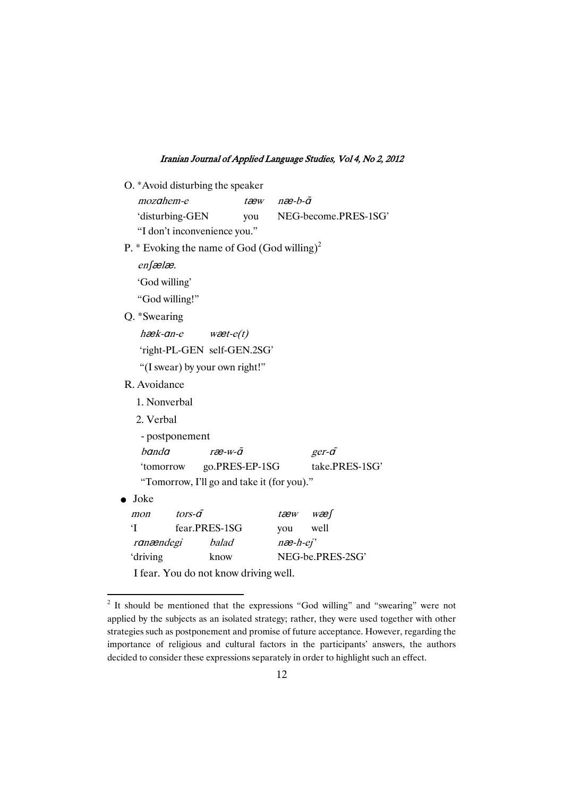O. \*Avoid disturbing the speaker  $mozaheme$   $taw$   $næ-b- $\tilde{a}$$ 'disturbing-GEN you NEG-become.PRES-1SG' "I don't inconvenience you." P.  $*$  Evoking the name of God (God willing)<sup>2</sup>  $en$  $B$ 'God willing' "God willing!" Q. \*Swearing  $h$ æ $k$ -an-e wæ $t$ -e $(t)$ 'right-PL-GEN self-GEN.2SG' "(I swear) by your own right!" R. Avoidance 1. Nonverbal 2. Verbal - postponement  $banda$   $ræ-w- $\tilde{a}$   $ger-\tilde{a}$$ 'tomorrow go.PRES-EP-1SG take.PRES-1SG' "Tomorrow, I'll go and take it (for you)."  $\bullet$  Joke mon tors- $\tilde{a}$  tæw wæ $\int$ 'I fear.PRES-1SG you well ranændegi balad næ-h-ej' 'driving know NEG-be.PRES-2SG' I fear. You do not know driving well.

<sup>&</sup>lt;sup>2</sup> It should be mentioned that the expressions "God willing" and "swearing" were not applied by the subjects as an isolated strategy; rather, they were used together with other strategies such as postponement and promise of future acceptance. However, regarding the importance of religious and cultural factors in the participants' answers, the authors decided to consider these expressions separately in order to highlight such an effect.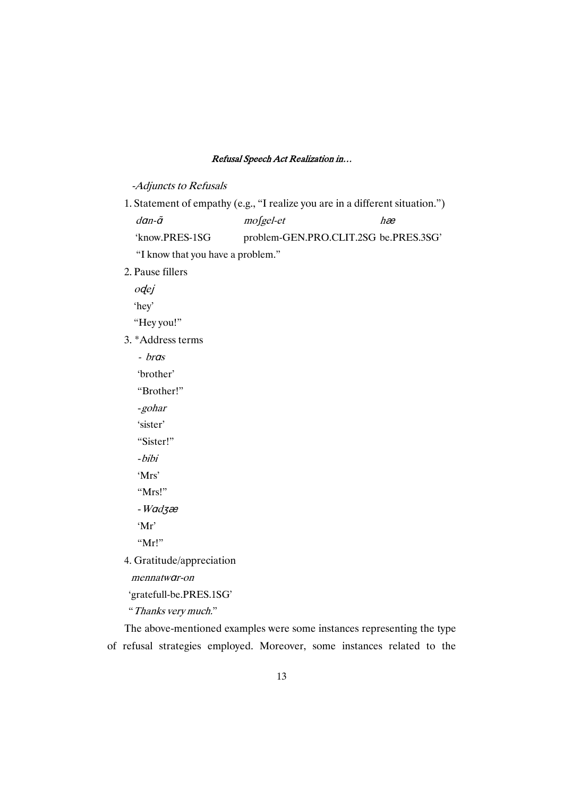### -Adjuncts to Refusals

- 1. Statement of empathy (e.g., "I realize you are in a different situation.")  $\frac{d}{dt}$  mosgel-et hæ 'know.PRES-1SG problem-GEN.PRO.CLIT.2SG be.PRES.3SG' "I know that you have a problem."
- 2. Pause fillers

odej

'hey'

"Hey you!"

- 3. \*Address terms
	- *bras*

'brother'

"Brother!"

-gohar

'sister'

"Sister!"

-bibi

'Mrs'

"Mrs!"

 $-Wad$ 3æ

'Mr'

"Mr!"

4. Gratitude/appreciation

mennatwar-on

'gratefull-be.PRES.1SG'

"Thanks very much."

The above-mentioned examples were some instances representing the type of refusal strategies employed. Moreover, some instances related to the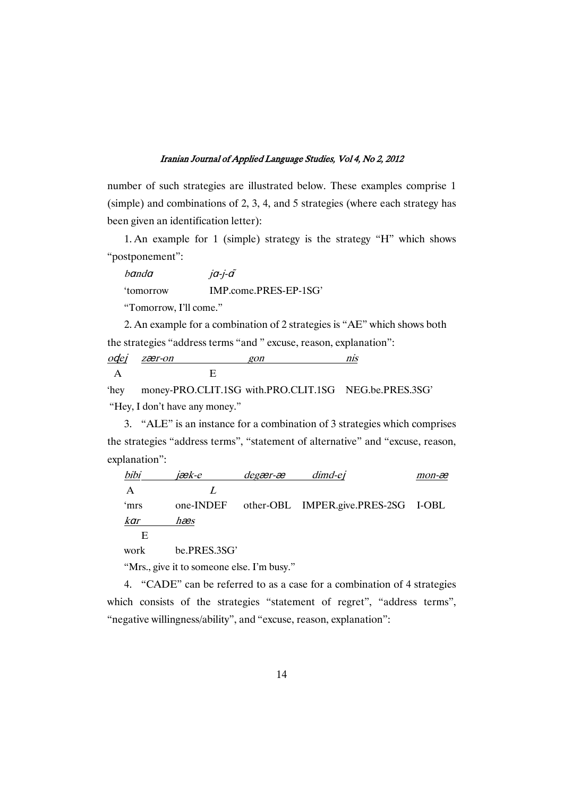number of such strategies are illustrated below. These examples comprise 1 (simple) and combinations of 2, 3, 4, and 5 strategies (where each strategy has been given an identification letter):

1. An example for 1 (simple) strategy is the strategy "H" which shows "postponement":

 $banda$   $ja-i-\tilde{a}$ 'tomorrow IMP.come.PRES-EP-1SG'

"Tomorrow, I'll come."

2. An example for a combination of 2 strategies is "AE" which shows both the strategies "address terms "and " excuse, reason, explanation":

| odel | zær-on | $\tau$ n |  |
|------|--------|----------|--|
|      |        |          |  |

'hey money-PRO.CLIT.1SG with.PRO.CLIT.1SG NEG.be.PRES.3SG' "Hey, I don't have any money."

3. "ALE" is an instance for a combination of 3 strategies which comprises the strategies "address terms", "statement of alternative" and "excuse, reason, explanation":

| bibi | iæk-e | degær-æ | dimd-ej                                       | mon-æ |
|------|-------|---------|-----------------------------------------------|-------|
|      |       |         |                                               |       |
| 'mrs |       |         | one-INDEF other-OBL IMPER.give.PRES-2SG I-OBL |       |
| kar  | hæs   |         |                                               |       |
| н    |       |         |                                               |       |

work be.PRES.3SG'

"Mrs., give it to someone else. I'm busy."

4. "CADE" can be referred to as a case for a combination of 4 strategies which consists of the strategies "statement of regret", "address terms", "negative willingness/ability", and "excuse, reason, explanation":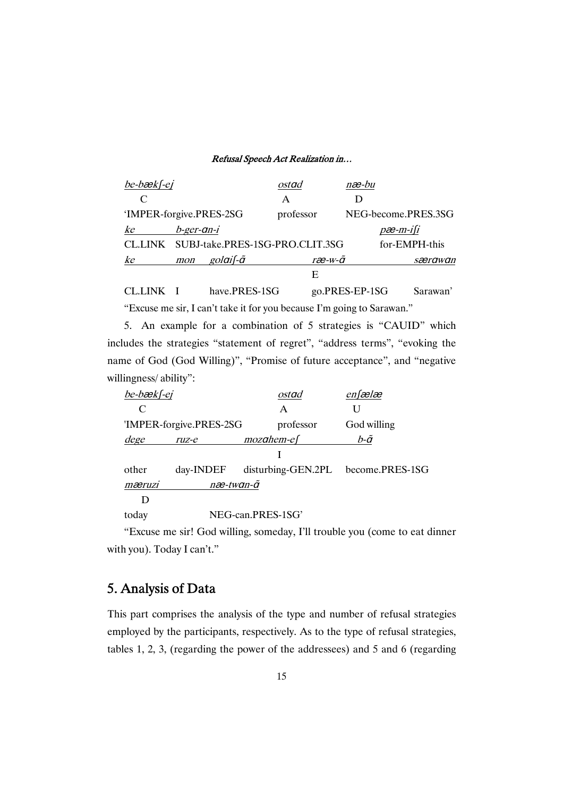| $be$ -bæ $k$ f-ej       |                               |                           | ostad                                   | næ-bu             |                     |
|-------------------------|-------------------------------|---------------------------|-----------------------------------------|-------------------|---------------------|
| $\mathsf{C}$            |                               |                           | А                                       |                   |                     |
| 'IMPER-forgive.PRES-2SG |                               |                           | professor                               |                   | NEG-become.PRES.3SG |
| ke                      | $b$ -ger-an-i                 |                           |                                         |                   | $pæ-m-ifi$          |
|                         |                               |                           | CL.LINK SUBJ-take.PRES-1SG-PRO.CLIT.3SG |                   | for-EMPH-this       |
| ke                      | mon                           | golaif-ã                  |                                         | $ræ-w-a$          | særawan             |
|                         |                               |                           | E                                       |                   |                     |
| $\cap$ T T TA TT $\tau$ | $\mathbf{r}$ and $\mathbf{r}$ | $\blacksquare$<br>DDBAAOO |                                         | $PPTQ$ $PQ$ $1QQ$ | $\sim$              |

CL.LINK I have.PRES-1SG go.PRES-EP-1SG Sarawan' "Excuse me sir, I can't take it for you because I'm going to Sarawan."

5. An example for a combination of 5 strategies is "CAUID" which includes the strategies "statement of regret", "address terms", "evoking the name of God (God Willing)", "Promise of future acceptance", and "negative willingness/ ability":

| be-bækf-ej |                         | ostad                              | enfælæ      |
|------------|-------------------------|------------------------------------|-------------|
| C          |                         | A                                  | U           |
|            | 'IMPER-forgive.PRES-2SG | professor                          | God willing |
| dege       | $ruz-e$                 | $mozahem-e$                        | b-ã         |
|            |                         |                                    |             |
| other      | day-INDEF               | disturbing-GEN.2PL become.PRES-1SG |             |
| mæruzi     |                         | næ-twan-ã                          |             |
| D          |                         |                                    |             |
| today      |                         | NEG-can.PRES-1SG                   |             |
|            |                         |                                    |             |

"Excuse me sir! God willing, someday, I'll trouble you (come to eat dinner with you). Today I can't."

# 5.AnalysisofData

This part comprises the analysis of the type and number of refusal strategies employed by the participants, respectively. As to the type of refusal strategies, tables 1, 2, 3, (regarding the power of the addressees) and 5 and 6 (regarding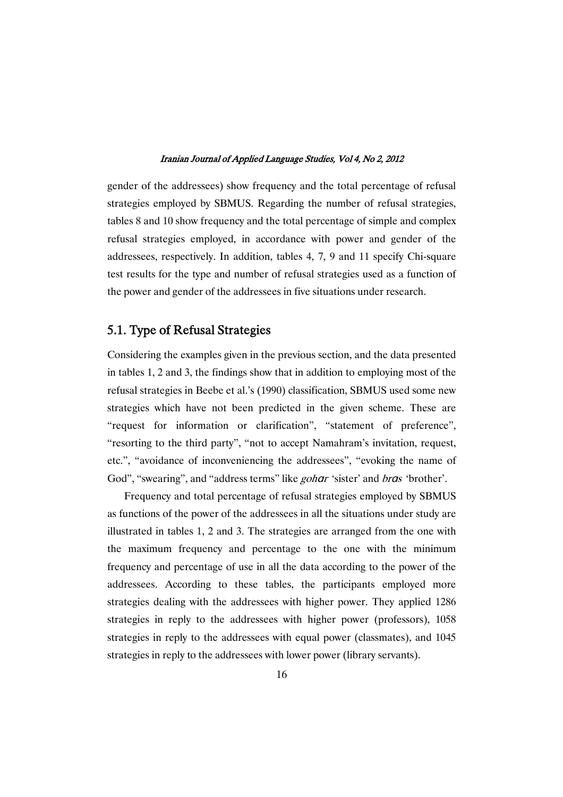gender of the addressees) show frequency and the total percentage of refusal strategies employed by SBMUS. Regarding the number of refusal strategies, tables 8 and 10 show frequency and the total percentage of simple and complex refusal strategies employed, in accordance with power and gender of the addressees, respectively. In addition, tables 4, 7, 9 and 11 specify Chi-square test results for the type and number of refusal strategies used as a function of the power and gender of the addressees in five situations under research.

## 5.1. Type of Refusal Strategies

Considering the examples given in the previous section, and the data presented in tables 1, 2 and 3, the findings show that in addition to employing most of the refusal strategies in Beebe et al.'s (1990) classification, SBMUS used some new strategies which have not been predicted in the given scheme. These are "request for information or clarification", "statement of preference", "resorting to the third party", "not to accept Namahram's invitation, request, etc.", "avoidance of inconveniencing the addressees", "evoking the name of God", "swearing", and "address terms" like *gohar* 'sister' and bras 'brother'.

Frequency and total percentage of refusal strategies employed by SBMUS as functions of the power of the addressees in all the situations under study are illustrated in tables 1, 2 and 3. The strategies are arranged from the one with the maximum frequency and percentage to the one with the minimum frequency and percentage of use in all the data according to the power of the addressees. According to these tables, the participants employed more strategies dealing with the addressees with higher power. They applied 1286 strategies in reply to the addressees with higher power (professors), 1058 strategies in reply to the addressees with equal power (classmates), and 1045 strategies in reply to the addressees with lower power (library servants).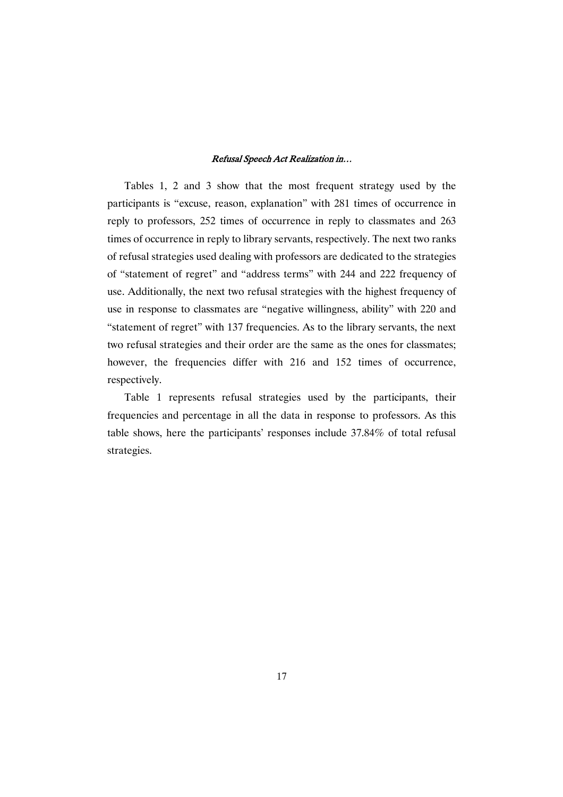Tables 1, 2 and 3 show that the most frequent strategy used by the participants is "excuse, reason, explanation" with 281 times of occurrence in reply to professors, 252 times of occurrence in reply to classmates and 263 times of occurrence in reply to library servants, respectively. The next two ranks of refusal strategies used dealing with professors are dedicated to the strategies of "statement of regret" and "address terms" with 244 and 222 frequency of use. Additionally, the next two refusal strategies with the highest frequency of use in response to classmates are "negative willingness, ability" with 220 and "statement of regret" with 137 frequencies. As to the library servants, the next two refusal strategies and their order are the same as the ones for classmates; however, the frequencies differ with 216 and 152 times of occurrence, respectively.

Table 1 represents refusal strategies used by the participants, their frequencies and percentage in all the data in response to professors. As this table shows, here the participants' responses include 37.84% of total refusal strategies.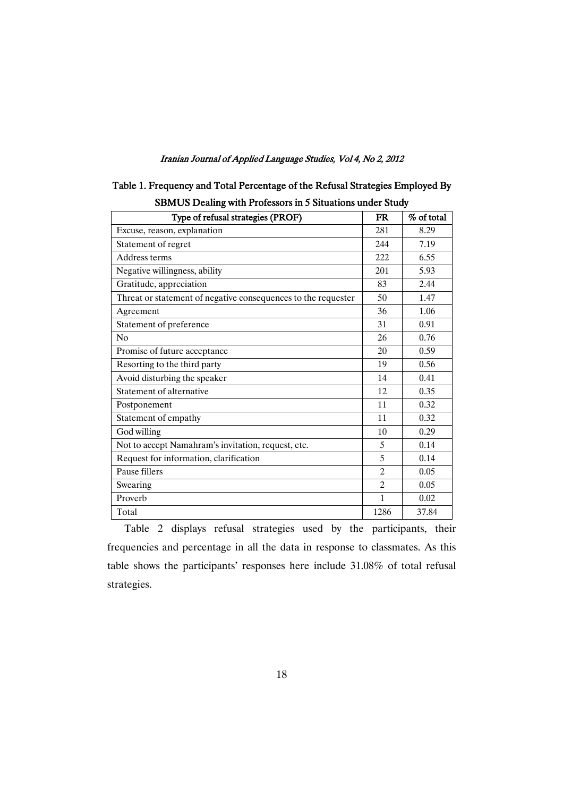| SDIVIUS Dealing with FTOIESSOLS III 3 SItuations under Study  |                |            |  |  |
|---------------------------------------------------------------|----------------|------------|--|--|
| Type of refusal strategies (PROF)                             | <b>FR</b>      | % of total |  |  |
| Excuse, reason, explanation                                   | 281            | 8.29       |  |  |
| Statement of regret                                           | 244            | 7.19       |  |  |
| Address terms                                                 | 222            | 6.55       |  |  |
| Negative willingness, ability                                 | 201            | 5.93       |  |  |
| Gratitude, appreciation                                       | 83             | 2.44       |  |  |
| Threat or statement of negative consequences to the requester | 50             | 1.47       |  |  |
| Agreement                                                     | 36             | 1.06       |  |  |
| Statement of preference                                       | 31             | 0.91       |  |  |
| No                                                            | 26             | 0.76       |  |  |
| Promise of future acceptance                                  | 20             | 0.59       |  |  |
| Resorting to the third party                                  | 19             | 0.56       |  |  |
| Avoid disturbing the speaker                                  | 14             | 0.41       |  |  |
| Statement of alternative                                      | 12             | 0.35       |  |  |
| Postponement                                                  | 11             | 0.32       |  |  |
| Statement of empathy                                          | 11             | 0.32       |  |  |
| God willing                                                   | 10             | 0.29       |  |  |
| Not to accept Namahram's invitation, request, etc.            | 5              | 0.14       |  |  |
| Request for information, clarification                        | 5              | 0.14       |  |  |
| Pause fillers                                                 | $\overline{2}$ | 0.05       |  |  |
| Swearing                                                      | $\overline{2}$ | 0.05       |  |  |
| Proverb                                                       | $\mathbf{1}$   | 0.02       |  |  |
| Total                                                         | 1286           | 37.84      |  |  |

| Table 1. Frequency and Total Percentage of the Refusal Strategies Employed By |  |
|-------------------------------------------------------------------------------|--|
| <b>SBMUS</b> Dealing with Professors in 5 Situations under Study              |  |

Table 2 displays refusal strategies used by the participants, their frequencies and percentage in all the data in response to classmates. As this table shows the participants' responses here include 31.08% of total refusal strategies.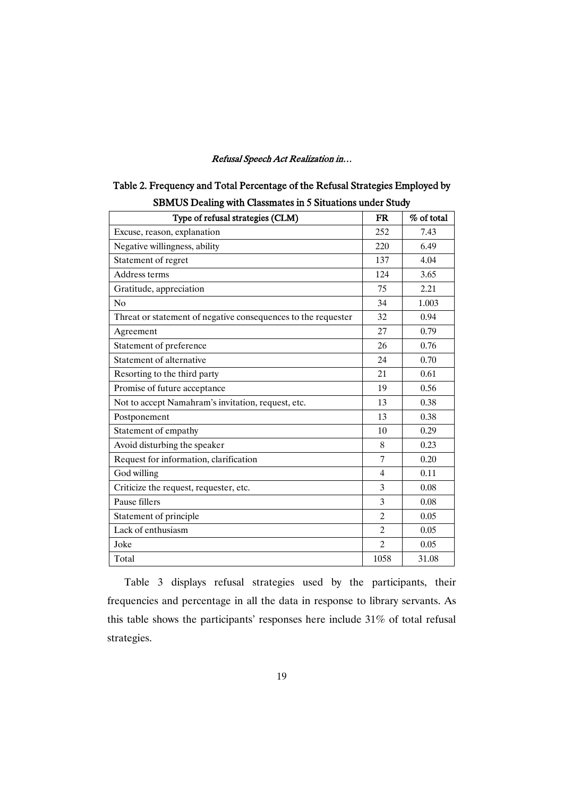| <b>SBMUS Dealing with Classmates in 5 Situations under Study</b> |                |            |  |  |
|------------------------------------------------------------------|----------------|------------|--|--|
| Type of refusal strategies (CLM)                                 | <b>FR</b>      | % of total |  |  |
| Excuse, reason, explanation                                      | 252            | 7.43       |  |  |
| Negative willingness, ability                                    | 220            | 6.49       |  |  |
| Statement of regret                                              | 137            | 4.04       |  |  |
| Address terms                                                    | 124            | 3.65       |  |  |
| Gratitude, appreciation                                          | 75             | 2.21       |  |  |
| N <sub>0</sub>                                                   | 34             | 1.003      |  |  |
| Threat or statement of negative consequences to the requester    | 32             | 0.94       |  |  |
| Agreement                                                        | 27             | 0.79       |  |  |
| Statement of preference                                          | 26             | 0.76       |  |  |
| Statement of alternative                                         | 24             | 0.70       |  |  |
| Resorting to the third party                                     | 21             | 0.61       |  |  |
| Promise of future acceptance                                     | 19             | 0.56       |  |  |
| Not to accept Namahram's invitation, request, etc.               | 13             | 0.38       |  |  |
| Postponement                                                     | 13             | 0.38       |  |  |
| Statement of empathy                                             | 10             | 0.29       |  |  |
| Avoid disturbing the speaker                                     | 8              | 0.23       |  |  |
| Request for information, clarification                           | $\tau$         | 0.20       |  |  |
| God willing                                                      | $\overline{4}$ | 0.11       |  |  |
| Criticize the request, requester, etc.                           | 3              | 0.08       |  |  |
| Pause fillers                                                    | 3              | 0.08       |  |  |
| Statement of principle                                           | $\overline{2}$ | 0.05       |  |  |
| Lack of enthusiasm                                               | $\overline{2}$ | 0.05       |  |  |
| Joke                                                             | $\overline{c}$ | 0.05       |  |  |
| Total                                                            | 1058           | 31.08      |  |  |

| Table 2. Frequency and Total Percentage of the Refusal Strategies Employed by |  |
|-------------------------------------------------------------------------------|--|
| SBMI IS Dealing with Classmates in 5 Situations under Study                   |  |

Table 3 displays refusal strategies used by the participants, their frequencies and percentage in all the data in response to library servants. As this table shows the participants' responses here include 31% of total refusal strategies.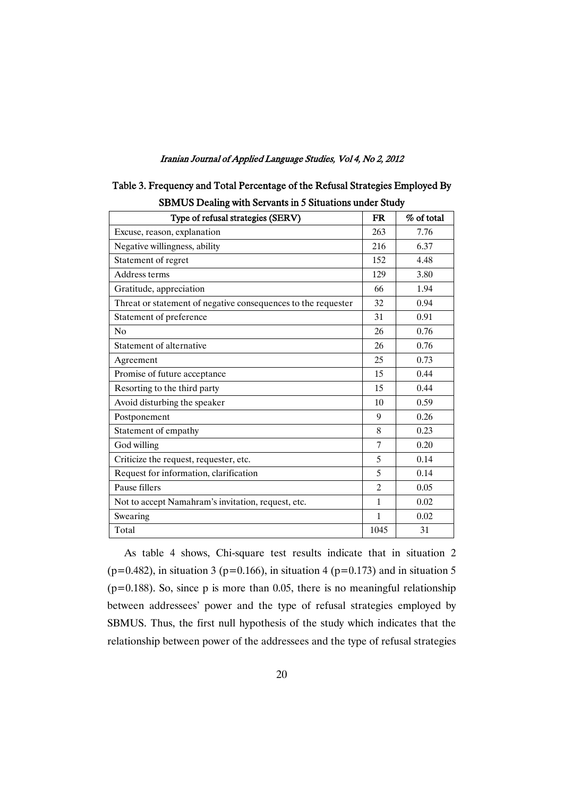| <b>SBMUS Dealing with Servants in 5 Situations under Study</b> |                |            |  |  |  |
|----------------------------------------------------------------|----------------|------------|--|--|--|
| Type of refusal strategies (SERV)                              | <b>FR</b>      | % of total |  |  |  |
| Excuse, reason, explanation                                    | 263            | 7.76       |  |  |  |
| Negative willingness, ability                                  | 216            | 6.37       |  |  |  |
| Statement of regret                                            | 152            | 4.48       |  |  |  |
| Address terms                                                  | 129            | 3.80       |  |  |  |
| Gratitude, appreciation                                        | 66             | 1.94       |  |  |  |
| Threat or statement of negative consequences to the requester  | 32             | 0.94       |  |  |  |
| Statement of preference                                        | 31             | 0.91       |  |  |  |
| No                                                             | 26             | 0.76       |  |  |  |
| Statement of alternative                                       | 26             | 0.76       |  |  |  |
| Agreement                                                      | 25             | 0.73       |  |  |  |
| Promise of future acceptance                                   | 15             | 0.44       |  |  |  |
| Resorting to the third party                                   | 15             | 0.44       |  |  |  |
| Avoid disturbing the speaker                                   | 10             | 0.59       |  |  |  |
| Postponement                                                   | 9              | 0.26       |  |  |  |
| Statement of empathy                                           | 8              | 0.23       |  |  |  |
| God willing                                                    | 7              | 0.20       |  |  |  |
| Criticize the request, requester, etc.                         | 5              | 0.14       |  |  |  |
| Request for information, clarification                         | 5              | 0.14       |  |  |  |
| Pause fillers                                                  | $\overline{c}$ | 0.05       |  |  |  |
| Not to accept Namahram's invitation, request, etc.             | $\mathbf{1}$   | 0.02       |  |  |  |
| Swearing                                                       | 1              | 0.02       |  |  |  |
| Total                                                          | 1045           | 31         |  |  |  |

| Table 3. Frequency and Total Percentage of the Refusal Strategies Employed By |  |
|-------------------------------------------------------------------------------|--|
| <b>SRMI IS Dealing with Servants in 5 Situations under Study</b>              |  |

As table 4 shows, Chi-square test results indicate that in situation 2 (p=0.482), in situation 3 (p=0.166), in situation 4 (p=0.173) and in situation 5  $(p=0.188)$ . So, since p is more than 0.05, there is no meaningful relationship between addressees' power and the type of refusal strategies employed by SBMUS. Thus, the first null hypothesis of the study which indicates that the relationship between power of the addressees and the type of refusal strategies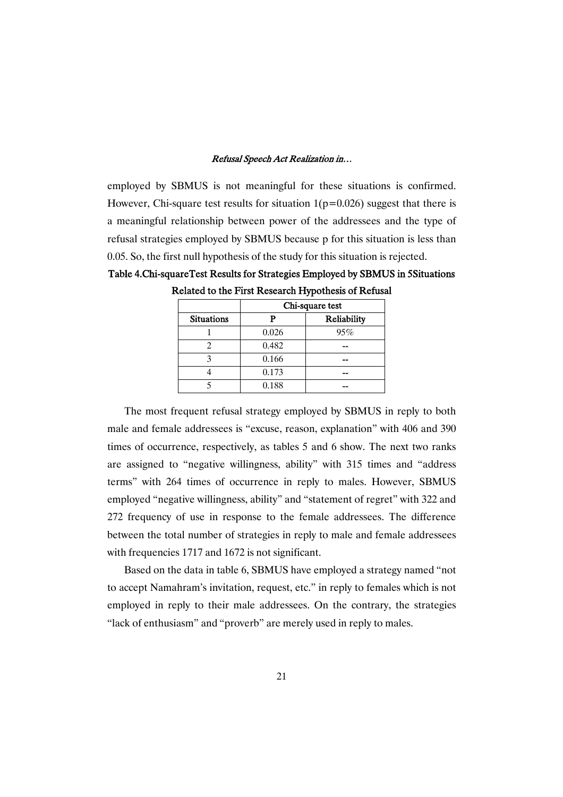employed by SBMUS is not meaningful for these situations is confirmed. However, Chi-square test results for situation  $1(p=0.026)$  suggest that there is a meaningful relationship between power of the addressees and the type of refusal strategies employed by SBMUS because p for this situation is less than 0.05. So, the first null hypothesis of the study for this situation is rejected.

Table 4.Chi-squareTest Results for Strategies Employed by SBMUS in 5Situations Related to the First Research Hypothesis of Refusal

|                   | Chi-square test |             |  |
|-------------------|-----------------|-------------|--|
| <b>Situations</b> | р               | Reliability |  |
|                   | 0.026           | 95%         |  |
|                   | 0.482           |             |  |
|                   | 0.166           |             |  |
|                   | 0.173           |             |  |
|                   | 0.188           |             |  |

The most frequent refusal strategy employed by SBMUS in reply to both male and female addressees is "excuse, reason, explanation" with 406 and 390 times of occurrence, respectively, as tables 5 and 6 show. The next two ranks are assigned to "negative willingness, ability" with 315 times and "address terms" with 264 times of occurrence in reply to males. However, SBMUS employed "negative willingness, ability" and "statement of regret" with 322 and 272 frequency of use in response to the female addressees. The difference between the total number of strategies in reply to male and female addressees with frequencies 1717 and 1672 is not significant.

Based on the data in table 6, SBMUS have employed a strategy named "not to accept Namahram's invitation, request, etc." in reply to females which is not employed in reply to their male addressees. On the contrary, the strategies "lack of enthusiasm" and "proverb" are merely used in reply to males.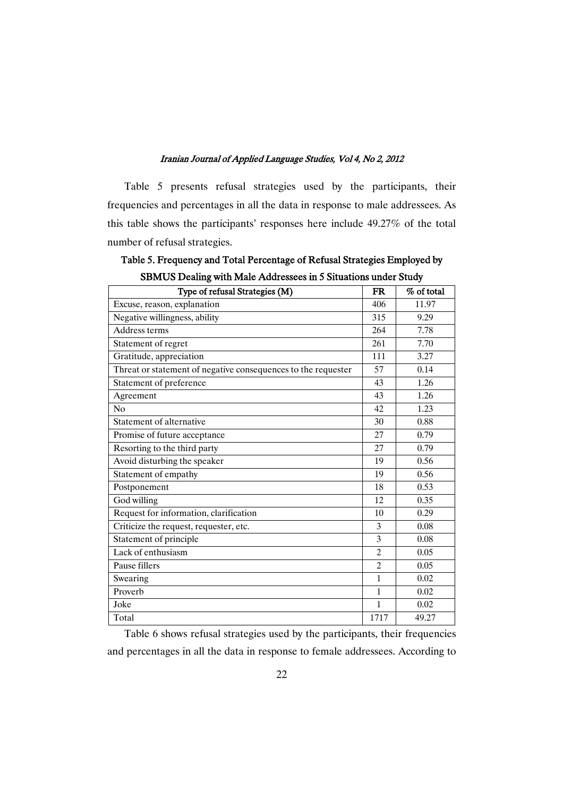Table 5 presents refusal strategies used by the participants, their frequencies and percentages in all the data in response to male addressees. As this table shows the participants' responses here include 49.27% of the total number of refusal strategies.

Table 5. Frequency and Total Percentage of Refusal Strategies Employed by SBMUS Dealing with Male Addressees in 5 Situations under Study

| Type of refusal Strategies (M)                                | <b>FR</b>      | % of total |
|---------------------------------------------------------------|----------------|------------|
| Excuse, reason, explanation                                   | 406            | 11.97      |
| Negative willingness, ability                                 | 315            | 9.29       |
| Address terms                                                 | 264            | 7.78       |
| Statement of regret                                           | 261            | 7.70       |
| Gratitude, appreciation                                       | 111            | 3.27       |
| Threat or statement of negative consequences to the requester | 57             | 0.14       |
| Statement of preference                                       | 43             | 1.26       |
| Agreement                                                     | 43             | 1.26       |
| No                                                            | 42             | 1.23       |
| Statement of alternative                                      | 30             | 0.88       |
| Promise of future acceptance                                  | 27             | 0.79       |
| Resorting to the third party                                  | 27             | 0.79       |
| Avoid disturbing the speaker                                  | 19             | 0.56       |
| Statement of empathy                                          | 19             | 0.56       |
| Postponement                                                  | 18             | 0.53       |
| God willing                                                   | 12             | 0.35       |
| Request for information, clarification                        | 10             | 0.29       |
| Criticize the request, requester, etc.                        | 3              | 0.08       |
| Statement of principle                                        | 3              | 0.08       |
| Lack of enthusiasm                                            | $\overline{2}$ | 0.05       |
| Pause fillers                                                 | $\overline{c}$ | 0.05       |
| Swearing                                                      | 1              | 0.02       |
| Proverb                                                       | $\mathbf{1}$   | 0.02       |
| Joke                                                          | 1              | 0.02       |
| Total                                                         | 1717           | 49.27      |

Table 6 shows refusal strategies used by the participants, their frequencies and percentages in all the data in response to female addressees. According to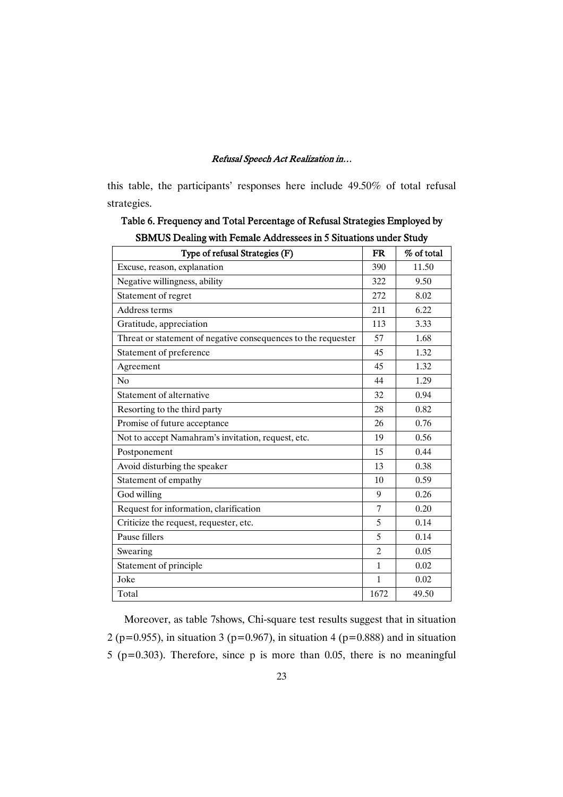this table, the participants' responses here include 49.50% of total refusal strategies.

Table 6. Frequency and Total Percentage of Refusal Strategies Employed by SBMUS Dealing with Female Addressees in 5 Situations under Study

| Type of refusal Strategies (F)                                | <b>FR</b>      | % of total |
|---------------------------------------------------------------|----------------|------------|
| Excuse, reason, explanation                                   | 390            | 11.50      |
| Negative willingness, ability                                 | 322            | 9.50       |
| Statement of regret                                           | 272            | 8.02       |
| Address terms                                                 | 211            | 6.22       |
| Gratitude, appreciation                                       | 113            | 3.33       |
| Threat or statement of negative consequences to the requester | 57             | 1.68       |
| Statement of preference                                       | 45             | 1.32       |
| Agreement                                                     | 45             | 1.32       |
| No                                                            | 44             | 1.29       |
| Statement of alternative                                      | 32             | 0.94       |
| Resorting to the third party                                  | 28             | 0.82       |
| Promise of future acceptance                                  | 26             | 0.76       |
| Not to accept Namahram's invitation, request, etc.            | 19             | 0.56       |
| Postponement                                                  | 15             | 0.44       |
| Avoid disturbing the speaker                                  | 13             | 0.38       |
| Statement of empathy                                          | 10             | 0.59       |
| God willing                                                   | 9              | 0.26       |
| Request for information, clarification                        | 7              | 0.20       |
| Criticize the request, requester, etc.                        | 5              | 0.14       |
| Pause fillers                                                 | 5              | 0.14       |
| Swearing                                                      | $\overline{2}$ | 0.05       |
| Statement of principle                                        | 1              | 0.02       |
| Joke                                                          | $\mathbf{1}$   | 0.02       |
| Total                                                         | 1672           | 49.50      |

Moreover, as table 7shows, Chi-square test results suggest that in situation 2 (p=0.955), in situation 3 (p=0.967), in situation 4 (p=0.888) and in situation 5 (p=0.303). Therefore, since p is more than 0.05, there is no meaningful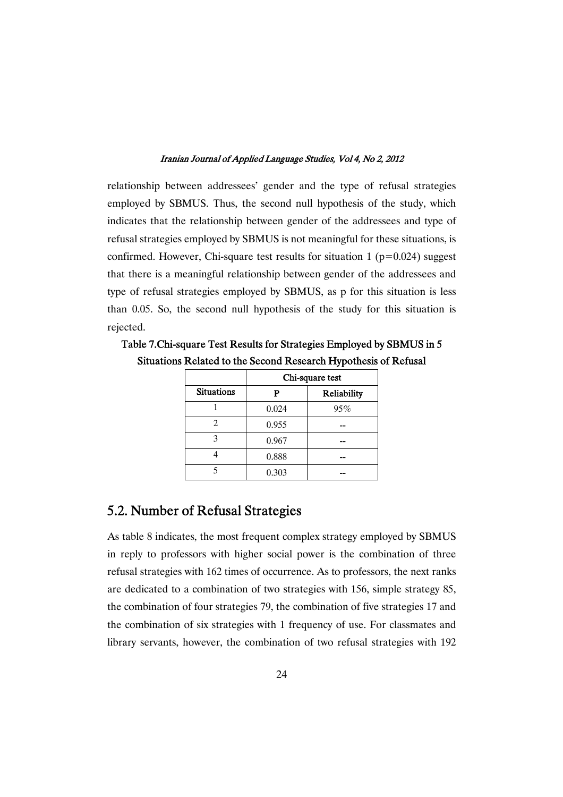relationship between addressees' gender and the type of refusal strategies employed by SBMUS. Thus, the second null hypothesis of the study, which indicates that the relationship between gender of the addressees and type of refusal strategies employed by SBMUS is not meaningful for these situations, is confirmed. However, Chi-square test results for situation 1 ( $p=0.024$ ) suggest that there is a meaningful relationship between gender of the addressees and type of refusal strategies employed by SBMUS, as p for this situation is less than 0.05. So, the second null hypothesis of the study for this situation is rejected.

Table 7.Chi-square Test Results for Strategies Employed by SBMUS in 5 Situations Related to the Second Research Hypothesis of Refusal

|                   | Chi-square test |             |  |
|-------------------|-----------------|-------------|--|
| <b>Situations</b> |                 | Reliability |  |
|                   | 0.024           | 95%         |  |
| 2                 | 0.955           |             |  |
|                   | 0.967           |             |  |
|                   | 0.888           |             |  |
|                   | 0.303           |             |  |

# 5.2. Number of Refusal Strategies

As table 8 indicates, the most frequent complex strategy employed by SBMUS in reply to professors with higher social power is the combination of three refusal strategies with 162 times of occurrence. As to professors, the next ranks are dedicated to a combination of two strategies with 156, simple strategy 85, the combination of four strategies 79, the combination of five strategies 17 and the combination of six strategies with 1 frequency of use. For classmates and library servants, however, the combination of two refusal strategies with 192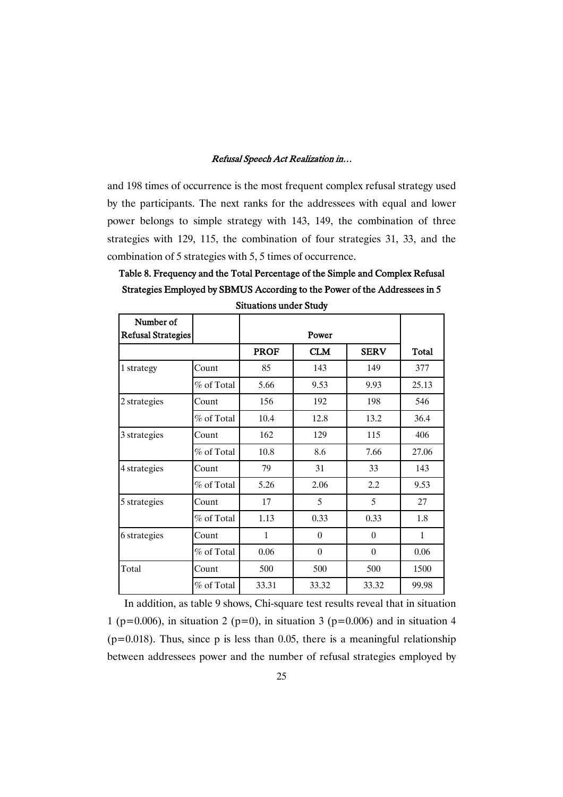and 198 times of occurrence is the most frequent complex refusal strategy used by the participants. The next ranks for the addressees with equal and lower power belongs to simple strategy with 143, 149, the combination of three strategies with 129, 115, the combination of four strategies 31, 33, and the combination of 5 strategies with 5, 5 times of occurrence.

Table 8. Frequency and the Total Percentage of the Simple and Complex Refusal Strategies Employed by SBMUS According to the Power of the Addressees in 5 Situations under Study

| Number of<br><b>Refusal Strategies</b> |              |              | Power      |             |              |
|----------------------------------------|--------------|--------------|------------|-------------|--------------|
|                                        |              | <b>PROF</b>  | <b>CLM</b> | <b>SERV</b> | <b>Total</b> |
| 1 strategy                             | Count        | 85           | 143        | 149         | 377          |
|                                        | % of Total   | 5.66         | 9.53       | 9.93        | 25.13        |
| 2 strategies                           | Count        | 156          | 192        | 198         | 546          |
|                                        | $%$ of Total | 10.4         | 12.8       | 13.2        | 36.4         |
| 3 strategies                           | Count        | 162          | 129        | 115         | 406          |
|                                        | % of Total   | 10.8         | 8.6        | 7.66        | 27.06        |
| 4 strategies                           | Count        | 79           | 31         | 33          | 143          |
|                                        | % of Total   | 5.26         | 2.06       | 2.2         | 9.53         |
| 5 strategies                           | Count        | 17           | 5          | 5           | 27           |
|                                        | % of Total   | 1.13         | 0.33       | 0.33        | 1.8          |
| 6 strategies                           | Count        | $\mathbf{1}$ | $\theta$   | $\theta$    | $\mathbf{1}$ |
|                                        | % of Total   | 0.06         | $\theta$   | $\theta$    | 0.06         |
| Total                                  | Count        | 500          | 500        | 500         | 1500         |
|                                        | % of Total   | 33.31        | 33.32      | 33.32       | 99.98        |

In addition, as table 9 shows, Chi-square test results reveal that in situation 1 (p=0.006), in situation 2 (p=0), in situation 3 (p=0.006) and in situation 4  $(p=0.018)$ . Thus, since p is less than 0.05, there is a meaningful relationship between addressees power and the number of refusal strategies employed by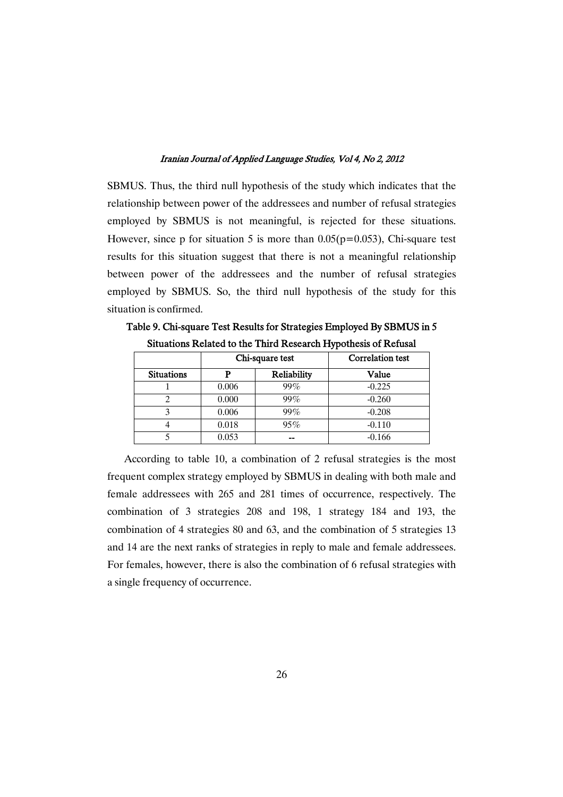SBMUS. Thus, the third null hypothesis of the study which indicates that the relationship between power of the addressees and number of refusal strategies employed by SBMUS is not meaningful, is rejected for these situations. However, since p for situation 5 is more than  $0.05(p=0.053)$ , Chi-square test results for this situation suggest that there is not a meaningful relationship between power of the addressees and the number of refusal strategies employed by SBMUS. So, the third null hypothesis of the study for this situation is confirmed.

|                   | Chi-square test |             | <b>Correlation</b> test |
|-------------------|-----------------|-------------|-------------------------|
| <b>Situations</b> | n               | Reliability | Value                   |
|                   | 0.006           | 99%         | $-0.225$                |
|                   | 0.000           | 99%         | $-0.260$                |
| 3                 | 0.006           | 99%         | $-0.208$                |
|                   | 0.018           | 95%         | $-0.110$                |
|                   | 0.053           |             | $-0.166$                |

Table 9. Chi-square Test Results for Strategies Employed By SBMUS in 5 Situations Related to the Third Research Hypothesis of Refusal

According to table 10, a combination of 2 refusal strategies is the most frequent complex strategy employed by SBMUS in dealing with both male and female addressees with 265 and 281 times of occurrence, respectively. The combination of 3 strategies 208 and 198, 1 strategy 184 and 193, the combination of 4 strategies 80 and 63, and the combination of 5 strategies 13 and 14 are the next ranks of strategies in reply to male and female addressees. For females, however, there is also the combination of 6 refusal strategies with a single frequency of occurrence.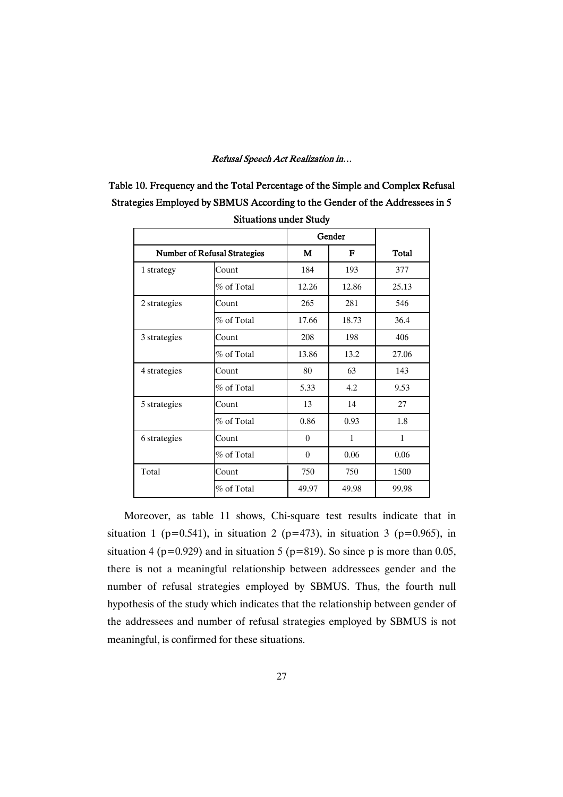| Table 10. Frequency and the Total Percentage of the Simple and Complex Refusal |
|--------------------------------------------------------------------------------|
| Strategies Employed by SBMUS According to the Gender of the Addressees in 5    |
| <b>Situations under Study</b>                                                  |

|                                     |               |                | Gender       |              |
|-------------------------------------|---------------|----------------|--------------|--------------|
| <b>Number of Refusal Strategies</b> |               | М              | F            | <b>Total</b> |
| 1 strategy                          | Count         | 184            | 193          | 377          |
|                                     | $\%$ of Total | 12.26          | 12.86        | 25.13        |
| 2 strategies                        | Count         | 265            | 281          | 546          |
|                                     | $\%$ of Total | 17.66          | 18.73        | 36.4         |
| 3 strategies                        | Count         | 208            | 198          | 406          |
|                                     | $\%$ of Total | 13.86          | 13.2         | 27.06        |
| 4 strategies                        | Count         | 80             | 63           | 143          |
|                                     | $\%$ of Total | 5.33           | 4.2          | 9.53         |
| 5 strategies                        | Count         | 13             | 14           | 27           |
|                                     | % of Total    | 0.86           | 0.93         | 1.8          |
| 6 strategies                        | Count         | $\overline{0}$ | $\mathbf{1}$ | $\mathbf{1}$ |
|                                     | $\%$ of Total | $\mathbf{0}$   | 0.06         | 0.06         |
| Total                               | Count         | 750            | 750          | 1500         |
|                                     | % of Total    | 49.97          | 49.98        | 99.98        |

Moreover, as table 11 shows, Chi-square test results indicate that in situation 1 (p=0.541), in situation 2 (p=473), in situation 3 (p=0.965), in situation 4 ( $p=0.929$ ) and in situation 5 ( $p=819$ ). So since p is more than 0.05, there is not a meaningful relationship between addressees gender and the number of refusal strategies employed by SBMUS. Thus, the fourth null hypothesis of the study which indicates that the relationship between gender of the addressees and number of refusal strategies employed by SBMUS is not meaningful, is confirmed for these situations.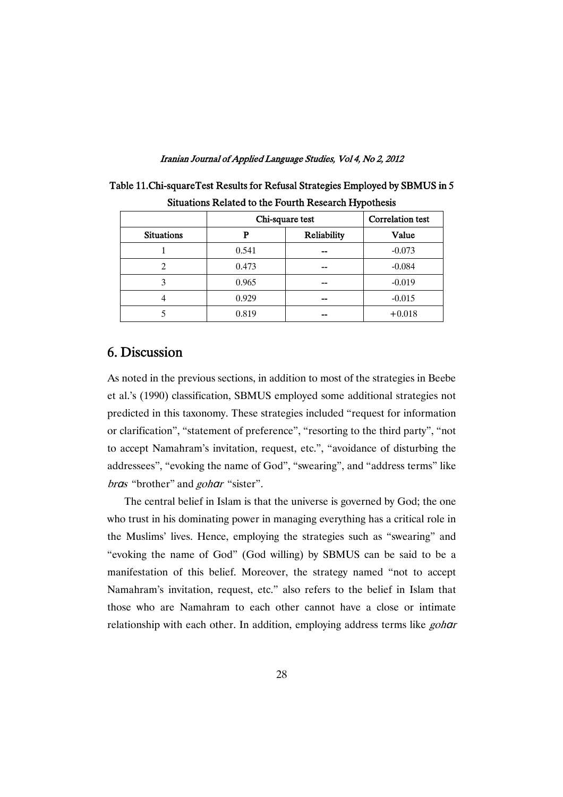|                   |                 | . .                     |          |
|-------------------|-----------------|-------------------------|----------|
|                   | Chi-square test | <b>Correlation test</b> |          |
| <b>Situations</b> | р               | Reliability             | Value    |
|                   | 0.541           |                         | $-0.073$ |
|                   | 0.473           |                         | $-0.084$ |
| 3                 | 0.965           | --                      | $-0.019$ |
|                   | 0.929           | --                      | $-0.015$ |
|                   | 0.819           | --                      | $+0.018$ |

| Table 11. Chi-square Test Results for Refusal Strategies Employed by SBMUS in 5 |  |
|---------------------------------------------------------------------------------|--|
| Situations Related to the Fourth Research Hypothesis                            |  |

# 6.Discussion

As noted in the previous sections, in addition to most of the strategies in Beebe et al.'s (1990) classification, SBMUS employed some additional strategies not predicted in this taxonomy. These strategies included "request for information or clarification", "statement of preference", "resorting to the third party", "not to accept Namahram's invitation, request, etc.", "avoidance of disturbing the addressees", "evoking the name of God", "swearing", and "address terms" like bras "brother" and *gohar* "sister".

The central belief in Islam is that the universe is governed by God; the one who trust in his dominating power in managing everything has a critical role in the Muslims' lives. Hence, employing the strategies such as "swearing" and "evoking the name of God" (God willing) by SBMUS can be said to be a manifestation of this belief. Moreover, the strategy named "not to accept Namahram's invitation, request, etc." also refers to the belief in Islam that those who are Namahram to each other cannot have a close or intimate relationship with each other. In addition, employing address terms like gohar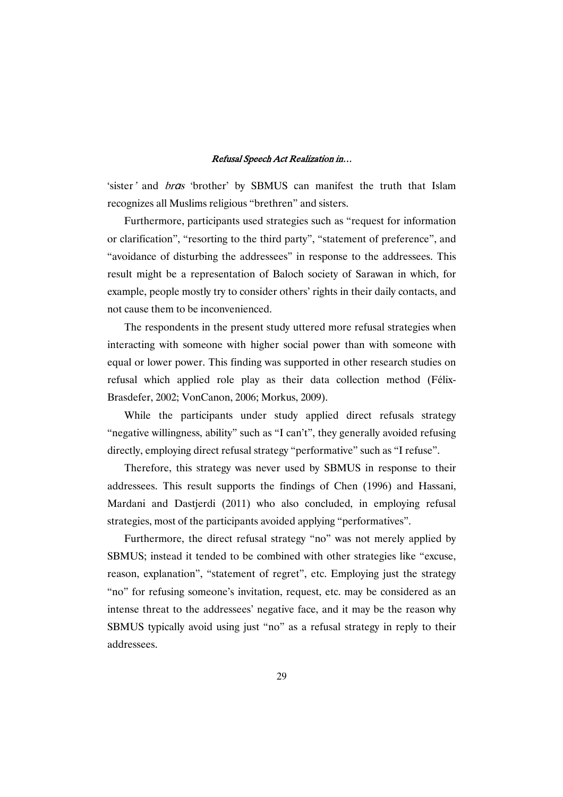'sister' and bras 'brother' by SBMUS can manifest the truth that Islam recognizes all Muslims religious "brethren" and sisters.

Furthermore, participants used strategies such as "request for information or clarification", "resorting to the third party", "statement of preference", and "avoidance of disturbing the addressees" in response to the addressees. This result might be a representation of Baloch society of Sarawan in which, for example, people mostly try to consider others' rights in their daily contacts, and not cause them to be inconvenienced.

The respondents in the present study uttered more refusal strategies when interacting with someone with higher social power than with someone with equal or lower power. This finding was supported in other research studies on refusal which applied role play as their data collection method (Félix-Brasdefer, 2002; VonCanon, 2006; Morkus, 2009).

While the participants under study applied direct refusals strategy "negative willingness, ability" such as "I can't", they generally avoided refusing directly, employing direct refusal strategy "performative" such as "I refuse".

Therefore, this strategy was never used by SBMUS in response to their addressees. This result supports the findings of Chen (1996) and Hassani, Mardani and Dastjerdi (2011) who also concluded, in employing refusal strategies, most of the participants avoided applying "performatives".

Furthermore, the direct refusal strategy "no" was not merely applied by SBMUS; instead it tended to be combined with other strategies like "excuse, reason, explanation", "statement of regret", etc. Employing just the strategy "no" for refusing someone's invitation, request, etc. may be considered as an intense threat to the addressees' negative face, and it may be the reason why SBMUS typically avoid using just "no" as a refusal strategy in reply to their addressees.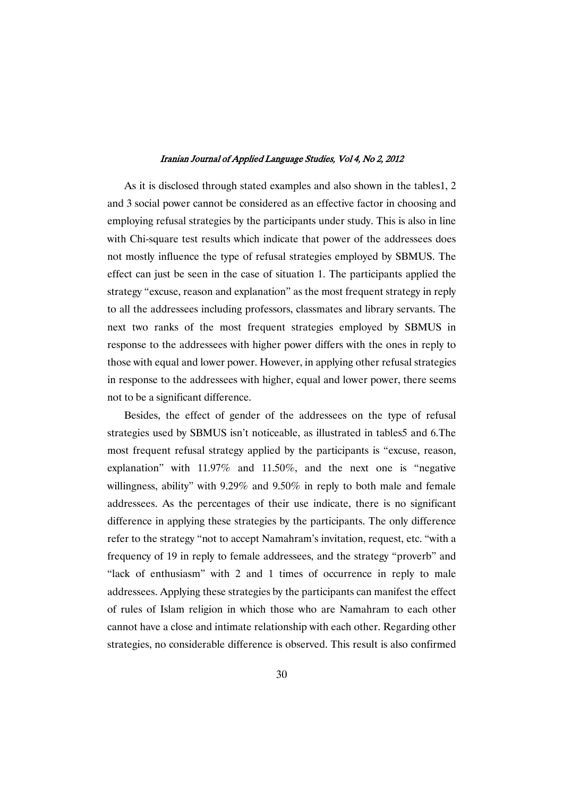As it is disclosed through stated examples and also shown in the tables1, 2 and 3 social power cannot be considered as an effective factor in choosing and employing refusal strategies by the participants under study. This is also in line with Chi-square test results which indicate that power of the addressees does not mostly influence the type of refusal strategies employed by SBMUS. The effect can just be seen in the case of situation 1. The participants applied the strategy "excuse, reason and explanation" as the most frequent strategy in reply to all the addressees including professors, classmates and library servants. The next two ranks of the most frequent strategies employed by SBMUS in response to the addressees with higher power differs with the ones in reply to those with equal and lower power. However, in applying other refusal strategies in response to the addressees with higher, equal and lower power, there seems not to be a significant difference.

Besides, the effect of gender of the addressees on the type of refusal strategies used by SBMUS isn't noticeable, as illustrated in tables5 and 6.The most frequent refusal strategy applied by the participants is "excuse, reason, explanation" with 11.97% and 11.50%, and the next one is "negative willingness, ability" with 9.29% and 9.50% in reply to both male and female addressees. As the percentages of their use indicate, there is no significant difference in applying these strategies by the participants. The only difference refer to the strategy "not to accept Namahram's invitation, request, etc. "with a frequency of 19 in reply to female addressees, and the strategy "proverb" and "lack of enthusiasm" with 2 and 1 times of occurrence in reply to male addressees. Applying these strategies by the participants can manifest the effect of rules of Islam religion in which those who are Namahram to each other cannot have a close and intimate relationship with each other. Regarding other strategies, no considerable difference is observed. This result is also confirmed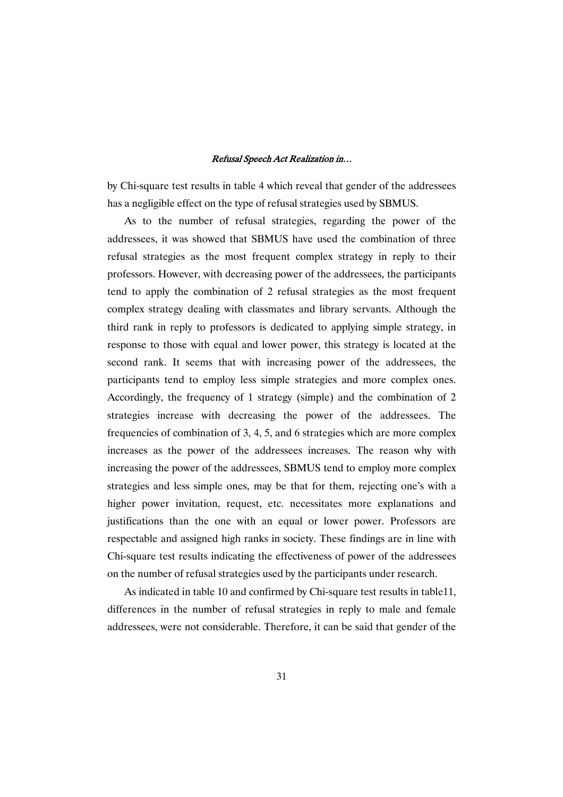by Chi-square test results in table 4 which reveal that gender of the addressees has a negligible effect on the type of refusal strategies used by SBMUS.

As to the number of refusal strategies, regarding the power of the addressees, it was showed that SBMUS have used the combination of three refusal strategies as the most frequent complex strategy in reply to their professors. However, with decreasing power of the addressees, the participants tend to apply the combination of 2 refusal strategies as the most frequent complex strategy dealing with classmates and library servants. Although the third rank in reply to professors is dedicated to applying simple strategy, in response to those with equal and lower power, this strategy is located at the second rank. It seems that with increasing power of the addressees, the participants tend to employ less simple strategies and more complex ones. Accordingly, the frequency of 1 strategy (simple) and the combination of 2 strategies increase with decreasing the power of the addressees. The frequencies of combination of 3, 4, 5, and 6 strategies which are more complex increases as the power of the addressees increases. The reason why with increasing the power of the addressees, SBMUS tend to employ more complex strategies and less simple ones, may be that for them, rejecting one's with a higher power invitation, request, etc. necessitates more explanations and justifications than the one with an equal or lower power. Professors are respectable and assigned high ranks in society. These findings are in line with Chi-square test results indicating the effectiveness of power of the addressees on the number of refusal strategies used by the participants under research.

As indicated in table 10 and confirmed by Chi-square test results in table11, differences in the number of refusal strategies in reply to male and female addressees, were not considerable. Therefore, it can be said that gender of the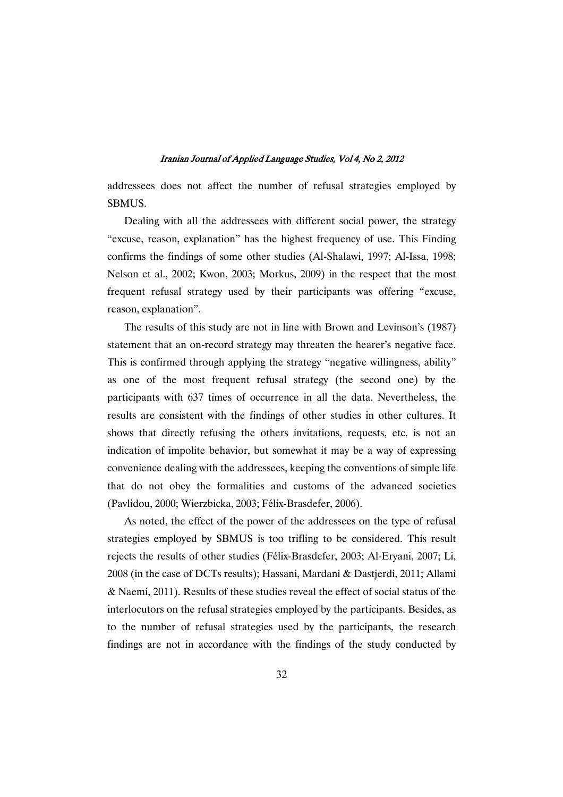addressees does not affect the number of refusal strategies employed by SBMUS.

Dealing with all the addressees with different social power, the strategy "excuse, reason, explanation" has the highest frequency of use. This Finding confirms the findings of some other studies (Al-Shalawi, 1997; Al-Issa, 1998; Nelson et al., 2002; Kwon, 2003; Morkus, 2009) in the respect that the most frequent refusal strategy used by their participants was offering "excuse, reason, explanation".

The results of this study are not in line with Brown and Levinson's (1987) statement that an on-record strategy may threaten the hearer's negative face. This is confirmed through applying the strategy "negative willingness, ability" as one of the most frequent refusal strategy (the second one) by the participants with 637 times of occurrence in all the data. Nevertheless, the results are consistent with the findings of other studies in other cultures. It shows that directly refusing the others invitations, requests, etc. is not an indication of impolite behavior, but somewhat it may be a way of expressing convenience dealing with the addressees, keeping the conventions of simple life that do not obey the formalities and customs of the advanced societies (Pavlidou, 2000; Wierzbicka, 2003; Félix-Brasdefer, 2006).

As noted, the effect of the power of the addressees on the type of refusal strategies employed by SBMUS is too trifling to be considered. This result rejects the results of other studies (Félix-Brasdefer, 2003; Al-Eryani, 2007; Li, 2008 (in the case of DCTs results); Hassani, Mardani & Dastjerdi, 2011; Allami & Naemi, 2011). Results of these studies reveal the effect of social status of the interlocutors on the refusal strategies employed by the participants. Besides, as to the number of refusal strategies used by the participants, the research findings are not in accordance with the findings of the study conducted by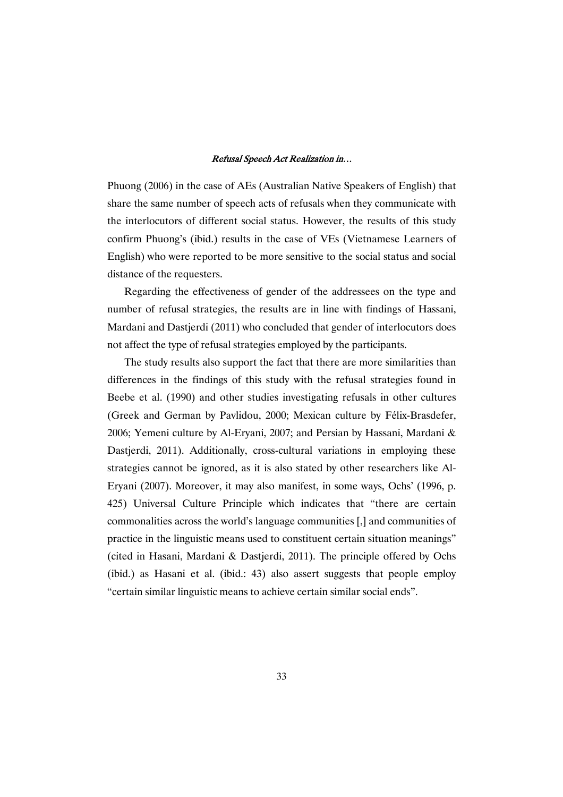Phuong (2006) in the case of AEs (Australian Native Speakers of English) that share the same number of speech acts of refusals when they communicate with the interlocutors of different social status. However, the results of this study confirm Phuong's (ibid.) results in the case of VEs (Vietnamese Learners of English) who were reported to be more sensitive to the social status and social distance of the requesters.

Regarding the effectiveness of gender of the addressees on the type and number of refusal strategies, the results are in line with findings of Hassani, Mardani and Dastjerdi (2011) who concluded that gender of interlocutors does not affect the type of refusal strategies employed by the participants.

The study results also support the fact that there are more similarities than differences in the findings of this study with the refusal strategies found in Beebe et al. (1990) and other studies investigating refusals in other cultures (Greek and German by Pavlidou, 2000; Mexican culture by Félix-Brasdefer, 2006; Yemeni culture by Al-Eryani, 2007; and Persian by Hassani, Mardani & Dastjerdi, 2011). Additionally, cross-cultural variations in employing these strategies cannot be ignored, as it is also stated by other researchers like Al-Eryani (2007). Moreover, it may also manifest, in some ways, Ochs' (1996, p. 425) Universal Culture Principle which indicates that "there are certain commonalities across the world's language communities [,] and communities of practice in the linguistic means used to constituent certain situation meanings" (cited in Hasani, Mardani & Dastjerdi, 2011). The principle offered by Ochs (ibid.) as Hasani et al. (ibid.: 43) also assert suggests that people employ "certain similar linguistic means to achieve certain similar social ends".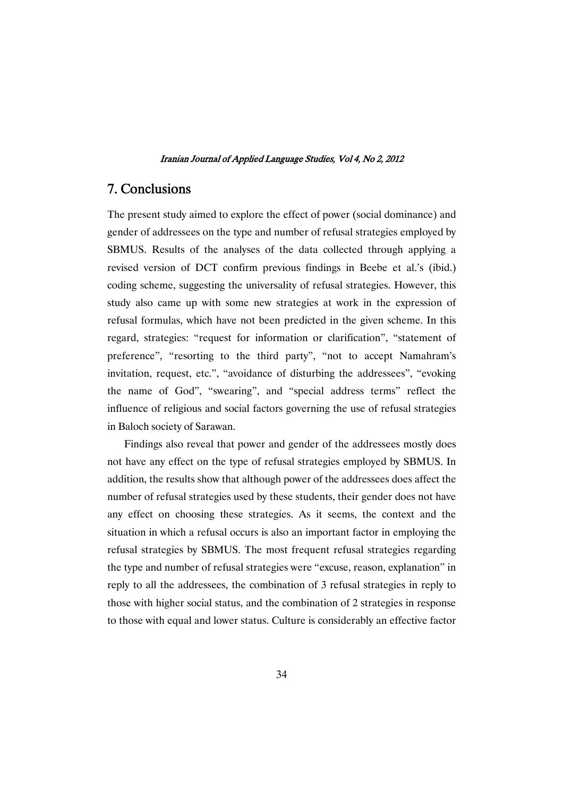# 7.Conclusions

The present study aimed to explore the effect of power (social dominance) and gender of addressees on the type and number of refusal strategies employed by SBMUS. Results of the analyses of the data collected through applying a revised version of DCT confirm previous findings in Beebe et al.'s (ibid.) coding scheme, suggesting the universality of refusal strategies. However, this study also came up with some new strategies at work in the expression of refusal formulas, which have not been predicted in the given scheme. In this regard, strategies: "request for information or clarification", "statement of preference", "resorting to the third party", "not to accept Namahram's invitation, request, etc.", "avoidance of disturbing the addressees", "evoking the name of God", "swearing", and "special address terms" reflect the influence of religious and social factors governing the use of refusal strategies in Baloch society of Sarawan.

Findings also reveal that power and gender of the addressees mostly does not have any effect on the type of refusal strategies employed by SBMUS. In addition, the results show that although power of the addressees does affect the number of refusal strategies used by these students, their gender does not have any effect on choosing these strategies. As it seems, the context and the situation in which a refusal occurs is also an important factor in employing the refusal strategies by SBMUS. The most frequent refusal strategies regarding the type and number of refusal strategies were "excuse, reason, explanation" in reply to all the addressees, the combination of 3 refusal strategies in reply to those with higher social status, and the combination of 2 strategies in response to those with equal and lower status. Culture is considerably an effective factor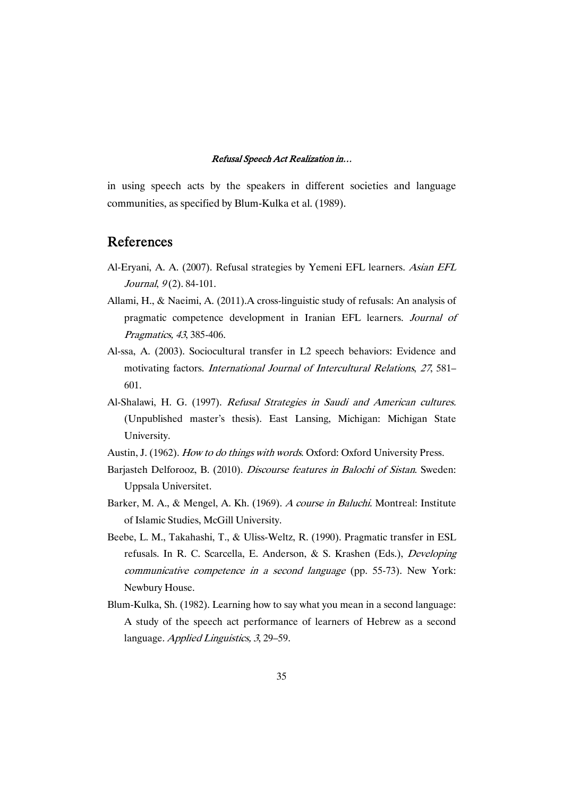in using speech acts by the speakers in different societies and language communities, as specified by Blum-Kulka et al. (1989).

### References

- Al-Eryani, A. A. (2007). Refusal strategies by Yemeni EFL learners. Asian EFL Journal, 9(2). 84-101.
- Allami, H., & Naeimi, A. (2011).A cross-linguistic study of refusals: An analysis of pragmatic competence development in Iranian EFL learners. Journal of Pragmatics, <sup>43</sup>, 385-406.
- Al-ssa, A. (2003). Sociocultural transfer in L2 speech behaviors: Evidence and motivating factors. International Journal of Intercultural Relations, <sup>27</sup>, 581– 601.
- Al-Shalawi, H. G. (1997). Refusal Strategies in Saudi and American cultures. (Unpublished master's thesis). East Lansing, Michigan: Michigan State University.
- Austin, J. (1962). How to do things with words. Oxford: Oxford University Press.
- Barjasteh Delforooz, B. (2010). Discourse features in Balochi of Sistan. Sweden: Uppsala Universitet.
- Barker, M. A., & Mengel, A. Kh. (1969). <sup>A</sup> course in Baluchi. Montreal: Institute of Islamic Studies, McGill University.
- Beebe, L. M., Takahashi, T., & Uliss-Weltz, R. (1990). Pragmatic transfer in ESL refusals. In R. C. Scarcella, E. Anderson, & S. Krashen (Eds.), Developing communicative competence in <sup>a</sup> second language (pp. 55-73). New York: Newbury House.
- Blum-Kulka, Sh. (1982). Learning how to say what you mean in a second language: A study of the speech act performance of learners of Hebrew as a second language. Applied Linguistics, 3, 29–59.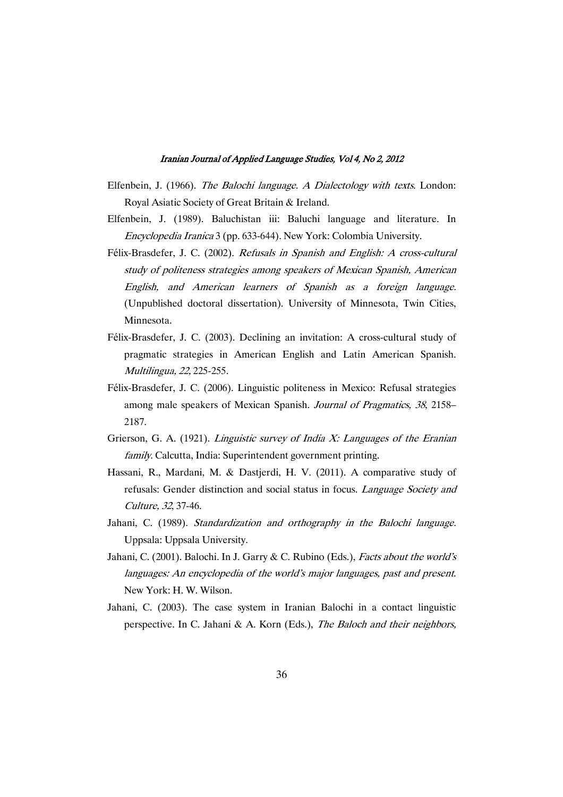- Elfenbein, J. (1966). The Balochi language. <sup>A</sup> Dialectology with texts. London: Royal Asiatic Society of Great Britain & Ireland.
- Elfenbein, J. (1989). Baluchistan iii: Baluchi language and literature. In Encyclopedia Iranica 3 (pp. 633-644). New York: Colombia University.
- Félix-Brasdefer, J. C. (2002). Refusals in Spanish and English: <sup>A</sup> cross-cultural study of politeness strategies among speakers of Mexican Spanish, American English, and American learners of Spanish as <sup>a</sup> foreign language. (Unpublished doctoral dissertation). University of Minnesota, Twin Cities, Minnesota.
- Félix-Brasdefer, J. C. (2003). Declining an invitation: A cross-cultural study of pragmatic strategies in American English and Latin American Spanish. Multilingua, 22, 225-255.
- Félix-Brasdefer, J. C. (2006). Linguistic politeness in Mexico: Refusal strategies among male speakers of Mexican Spanish. Journal of Pragmatics, <sup>38</sup>, 2158– 2187.
- Grierson, G. A. (1921). *Linguistic survey of India X: Languages of the Eranian* family. Calcutta, India: Superintendent government printing.
- Hassani, R., Mardani, M. & Dastjerdi, H. V. (2011). A comparative study of refusals: Gender distinction and social status in focus. Language Society and Culture, <sup>32</sup>, 37-46.
- Jahani, C. (1989). Standardization and orthography in the Balochi language. Uppsala: Uppsala University.
- Jahani, C. (2001). Balochi. In J. Garry & C. Rubino (Eds.), Facts about the world's languages: An encyclopedia of the world's major languages, past and present. New York: H. W. Wilson.
- Jahani, C. (2003). The case system in Iranian Balochi in a contact linguistic perspective. In C. Jahani & A. Korn (Eds.), The Baloch and their neighbors,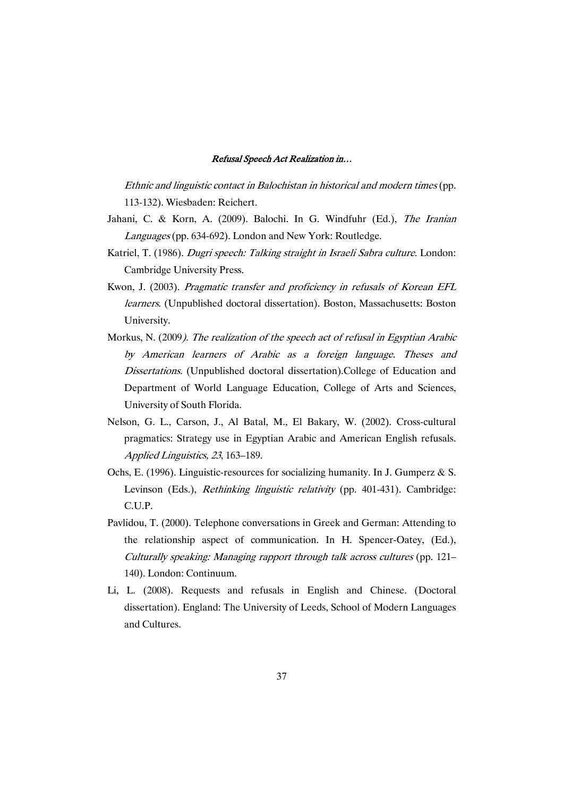Ethnic and linguistic contact in Balochistan in historical and modern times (pp. 113-132). Wiesbaden: Reichert.

- Jahani, C. & Korn, A. (2009). Balochi. In G. Windfuhr (Ed.), The Iranian Languages (pp. 634-692). London and New York: Routledge.
- Katriel, T. (1986). Dugri speech: Talking straight in Israeli Sabra culture. London: Cambridge University Press.
- Kwon, J. (2003). Pragmatic transfer and proficiency in refusals of Korean EFL learners. (Unpublished doctoral dissertation). Boston, Massachusetts: Boston University.
- Morkus, N. (2009). The realization of the speech act of refusal in Egyptian Arabic by American learners of Arabic as <sup>a</sup> foreign language. Theses and Dissertations. (Unpublished doctoral dissertation).College of Education and Department of World Language Education, College of Arts and Sciences, University of South Florida.
- Nelson, G. L., Carson, J., Al Batal, M., El Bakary, W. (2002). Cross-cultural pragmatics: Strategy use in Egyptian Arabic and American English refusals. Applied Linguistics, <sup>23</sup>, 163–189.
- Ochs, E. (1996). Linguistic-resources for socializing humanity. In J. Gumperz & S. Levinson (Eds.), Rethinking linguistic relativity (pp. 401-431). Cambridge: C.U.P.
- Pavlidou, T. (2000). Telephone conversations in Greek and German: Attending to the relationship aspect of communication. In H. Spencer-Oatey, (Ed.), Culturally speaking: Managing rapport through talk across cultures (pp. 121– 140). London: Continuum.
- Li, L. (2008). Requests and refusals in English and Chinese. (Doctoral dissertation). England: The University of Leeds, School of Modern Languages and Cultures.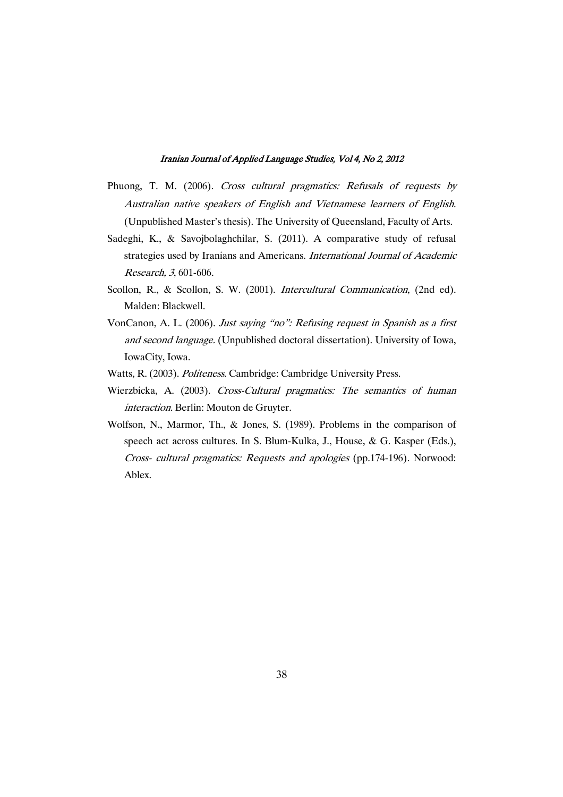- Phuong, T. M. (2006). Cross cultural pragmatics: Refusals of requests by Australian native speakers of English and Vietnamese learners of English. (Unpublished Master's thesis). The University of Queensland, Faculty of Arts.
- Sadeghi, K., & Savojbolaghchilar, S. (2011). A comparative study of refusal strategies used by Iranians and Americans. International Journal of Academic Research, <sup>3</sup>, 601-606.
- Scollon, R., & Scollon, S. W. (2001). Intercultural Communication, (2nd ed). Malden: Blackwell.
- VonCanon, A. L. (2006). Just saying "no": Refusing request in Spanish as <sup>a</sup> first and second language. (Unpublished doctoral dissertation). University of Iowa, IowaCity, Iowa.
- Watts, R. (2003). Politeness. Cambridge: Cambridge University Press.
- Wierzbicka, A. (2003). Cross-Cultural pragmatics: The semantics of human interaction. Berlin: Mouton de Gruyter.
- Wolfson, N., Marmor, Th., & Jones, S. (1989). Problems in the comparison of speech act across cultures. In S. Blum-Kulka, J., House, & G. Kasper (Eds.), Cross- cultural pragmatics: Requests and apologies (pp.174-196). Norwood: Ablex.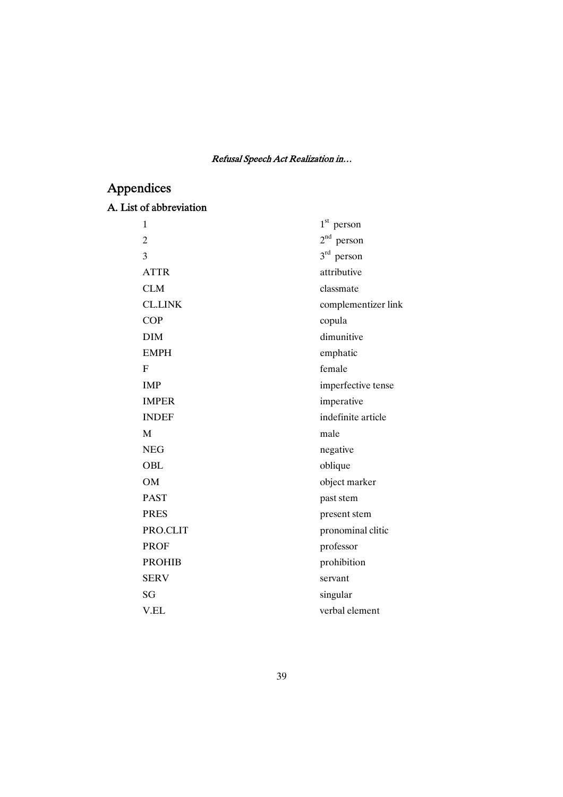# Appendices

# A. List of abbreviation

| 1              | $1st$ person        |
|----------------|---------------------|
| $\overline{2}$ | $2^{nd}$ person     |
| 3              | $3rd$ person        |
| <b>ATTR</b>    | attributive         |
| <b>CLM</b>     | classmate           |
| <b>CL.LINK</b> | complementizer link |
| <b>COP</b>     | copula              |
| <b>DIM</b>     | dimunitive          |
| <b>EMPH</b>    | emphatic            |
| F              | female              |
| <b>IMP</b>     | imperfective tense  |
| <b>IMPER</b>   | imperative          |
| <b>INDEF</b>   | indefinite article  |
| M              | male                |
| <b>NEG</b>     | negative            |
| OBL            | oblique             |
| <b>OM</b>      | object marker       |
| <b>PAST</b>    | past stem           |
| <b>PRES</b>    | present stem        |
| PRO.CLIT       | pronominal clitic   |
| <b>PROF</b>    | professor           |
| <b>PROHIB</b>  | prohibition         |
| <b>SERV</b>    | servant             |
| SG             | singular            |
| V.EL           | verbal element      |